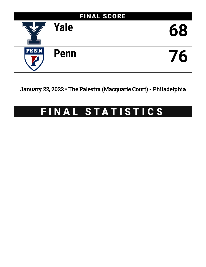

January 22, 2022 • The Palestra (Macquarie Court) - Philadelphia

# FINAL STATISTICS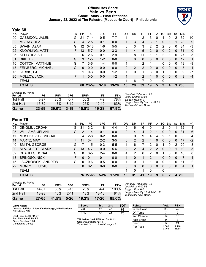### **Official Box Score Yale vs Penn Game Totals -- Final Statistics January 22, 2022 at The Palestra (Macquarie Court) - Philadelphia**



# **Yale 68**

| No. | Player                 | S  | <b>Pts</b> | FG       | 3FG      | FТ        | OR           | DR       | TR             | PF            | A        | TO | <b>B</b> lk   | Stl      | Min        | $+/-$    |
|-----|------------------------|----|------------|----------|----------|-----------|--------------|----------|----------------|---------------|----------|----|---------------|----------|------------|----------|
| 00  | <b>GABBIDON, JALEN</b> | G  | 21         | $7 - 14$ | $0 - 5$  | $7 - 7$   |              |          | 2              | 3             | 0        | 4  | 0             | 2        | 32         | $-10$    |
| 02  | MBENG, BEZ             | G  | 4          | $2 - 5$  | $0 - 1$  | $0 - 0$   |              | 3        | 4              | 3.            | 1        | 0  |               |          | 28         | $-9$     |
| 05  | SWAIN, AZAR            | G  | 12         | $3 - 13$ | 1-6      | $5 - 5$   | 0            | 3        | 3              | 2             | 2        | 2  | 0             | 0        | 34         | -3       |
| 22  | <b>KNOWLING, MATT</b>  | F. | 13         | $5 - 7$  | $0 - 0$  | $3 - 3$   | $\mathbf 1$  | 4        | 5              | $\mathcal{P}$ | 0        | 0  | $\mathcal{P}$ | $\Omega$ | 31         | $\Omega$ |
| 35  | <b>KELLY, ISAIAH</b>   | F  | 6          | $2 - 6$  | $0 - 1$  | $2 - 9$   | 3            | 8        | 11             |               | 1        | 2  |               | $\Omega$ | 27         | 5        |
| 01  | DIKE, EZE              | G  | 3          | $1 - 5$  | $1 - 2$  | $0 - 0$   | 0            | $\Omega$ | $\Omega$       | 3             | $\Omega$ | 0  | $\Omega$      | $\Omega$ | 12         | 1        |
| 10  | COTTON, MATTHUE        | G  | 7          | 3-6      | 1-4      | $0 - 0$   | 1.           | 1        | 2              |               | 1        | 0  | 0             | 0        | 19         | -9       |
| 13  | FEINBERG, MICHAEL      | G  | $\Omega$   | $0 - 0$  | $0 - 0$  | $0 - 0$   | 0            | 2        | 2              | 0             | $\Omega$ | 0  | $\Omega$      | $\Omega$ | 5          | $-4$     |
| 15  | JARVIS, EJ             |    |            | $0 - 3$  | $0 - 0$  | $1 - 2$   | 1            | 0        | 1              | 3             | 0        |    | 0             | $\Omega$ | 9          | $-7$     |
| 20  | MOLLOY, JACK           | F. |            | $0 - 0$  | $0 - 0$  | $1 - 2$   | $\mathbf{1}$ |          | $\overline{2}$ |               | 0        | 0  | $\Omega$      | $\Omega$ | 3          | $-4$     |
|     | TEAM                   |    |            |          |          |           | 1            | 6        |                | 0             |          | 0  |               |          |            |          |
|     | <b>TOTALS</b>          |    | 68         | 23-59    | $3 - 19$ | $19 - 28$ | 10           | 29       | 39             | 19            | 5        | 9  | 4             | 3        | <b>200</b> |          |

| <b>Shooting By Period</b><br>Period | FG        | FG%      | 3FG      | 3FG%   | FT        | FT%   | Deadball Rebounds: 4,0<br>Last FG: 2nd-00:03              |
|-------------------------------------|-----------|----------|----------|--------|-----------|-------|-----------------------------------------------------------|
| 1st Half                            | $8 - 27$  | 30%      | $0 - 7$  | $00\%$ | 7-9       | 78%   | Biagest Run: 5-0                                          |
| 2nd Half                            | 15-32     | 47%      | $3-12$   | 25%    | $12 - 19$ | 63%   | Largest lead: By 3 at 1st-17:21<br>Technical Fouls: None. |
| Game                                | $23 - 59$ | $39.0\%$ | $3 - 19$ | 15.8%  | 19-28     | 67.9% |                                                           |

# **Penn 76**

| No. | Player                  | S  | Pts           | FG.       | 3FG      | FT.       | OR             | DR            | TR             | PF            | A        | TO | <b>B</b> lk    | Stl | Min | $+/-$ |
|-----|-------------------------|----|---------------|-----------|----------|-----------|----------------|---------------|----------------|---------------|----------|----|----------------|-----|-----|-------|
| 03  | DINGLE, JORDAN          | G  | 31            | $13 - 24$ | 1-8      | 4-4       | 0              | 6             | 6              | 0             |          | 2  | 0              |     | 32  | 4     |
| 05  | <b>WILLIAMS, JELANI</b> | G  | $\mathcal{P}$ | $1 - 4$   | $0 - 1$  | $0 - 0$   | 0              | 4             | 4              | 2             |          | 0  | $\overline{0}$ | 0   | 31  | 6     |
| 11  | MOSHKOVITZ, MICHAEL     | F. | 4             | $2 - 8$   | $0 - 2$  | $0 - 0$   | 0              | 9             | 9              | 4             | 4        | 2  |                | 0   | 33  | 4     |
| 14  | MARTZ, MAX              | F  |               | $3 - 4$   | $2 - 2$  | $3 - 5$   | 0              | 2             | $\overline{2}$ | 4             | $\Omega$ | 0  | $\Omega$       | 0   | 17  | $-2$  |
| 40  | SMITH, GEORGE           | G  |               | $1 - 5$   | $0 - 3$  | $5 - 5$   | 1.             | 6             |                | 2             | $\Omega$ |    | $\Omega$       | 2   | 29  | 8     |
| 00  | <b>SLAJCHERT, CLARK</b> | G  | 13            | $4 - 7$   | $0 - 0$  | $5-6$     | $\overline{2}$ | $\mathcal{P}$ | 4              | $\mathcal{P}$ | 2        | 0  | $\Omega$       |     | 19  | 5     |
| 02  | CHARLES, JONAH          | G  | 8             | $3 - 5$   | $2 - 4$  | $0 - 0$   | 4              | 2             | 6              | $\mathcal{P}$ | 0        |    | 0              | 0   | 16  | 8     |
| 13  | SPINOSO, NICK           | F. | 0             | $0 - 1$   | $0 - 1$  | $0 - 0$   |                | $\Omega$      |                | $\mathcal{P}$ | 1        | 0  | $\Omega$       | 0   | 7   | 4     |
| 15  | LACZKOWSKI, ANDREW      | G  | $\Omega$      | $0 - 6$   | $0 - 5$  | $0 - 0$   |                | $\Omega$      |                |               | 0        | 0  |                | 0   | 11  | 2     |
| 22  | MONROE, LUCAS           | F  | 0             | $0 - 1$   | $0 - 0$  | $0 - 0$   | 0              | 0             | $\mathbf{0}$   | 0             | 0        | 0  | $\Omega$       | 0   | 4   | 1     |
|     | <b>TEAM</b>             |    |               |           |          |           | 1              | 0             |                | 0             |          | 0  |                |     |     |       |
|     | <b>TOTALS</b>           |    | 76            | 27-65     | $5 - 26$ | $17 - 20$ | 10             | 31            | 41             | 19            | 9        | 6  | 2              | 4   | 200 |       |

| Game                                | 27-65 | 41.5% | $5 - 26$ | 19.2% | $17-20$ | $85.0\%$ |
|-------------------------------------|-------|-------|----------|-------|---------|----------|
| 2nd Half                            | 13-28 | 46%   | $2 - 11$ | 18%   | 13-16   | 81%      |
| 1st Half                            | 14-37 | 38%   | $3 - 15$ | 20%   | 4-4     | 100%     |
| <b>Shooting By Period</b><br>Period | FG    | FG%   | 3FG      | 3FG%  | FТ      | FT%      |

*Deadball Rebounds:* 2,0 *Last FG:* 2nd-00:58 *Biggest Run:* 6-0 *Largest lead:* By 13 at 1st-01:01 *Technical Fouls:* None.

| Game Notes:                                                            | <b>Score</b>                             | 1st | 2 <sub>nd</sub> | TOT | <b>Points</b>     | <b>YAL</b>     | <b>PEN</b>     |  |
|------------------------------------------------------------------------|------------------------------------------|-----|-----------------|-----|-------------------|----------------|----------------|--|
| Officials: Jeff Fox, Adam Vandenburgh, Mike Nardone<br>Attendance: 125 | <b>YAL</b>                               | 23  | 45              | 68  | In the Paint      | 38             | 42             |  |
|                                                                        | <b>PEN</b>                               | 35  | -41             | 76  | Off Turns         |                |                |  |
| Start Time: 04:02 PM ET                                                |                                          |     |                 |     | 2nd Chance        |                | 10             |  |
| End Time: 06:02 PM ET<br>Game Duration: 1:59                           | YAL led for 3:04. PEN led for 34:12.     |     |                 |     | <b>Fast Break</b> |                |                |  |
| Conference Game:                                                       | Game was tied for 2:41.<br>Times tied: 3 |     | Lead Changes: 3 |     | Bench             |                | 21             |  |
|                                                                        |                                          |     |                 |     | Per Poss          | 1.000<br>33/68 | 1.118<br>35/68 |  |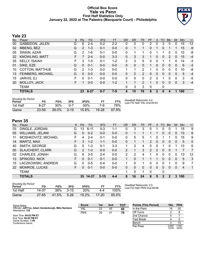### **Official Box Score Yale vs Penn First Half Statistics Only January 22, 2022 at The Palestra (Macquarie Court) - Philadelphia**



# **Yale 23**

| No. | Plaver                 | S  | <b>Pts</b> | <b>FG</b> | 3FG     | FT      | <b>OR</b>    | DR | <b>TR</b>      | PF             | A           | TO       | <b>Blk</b> | Stl      | Min | $+/-$ |
|-----|------------------------|----|------------|-----------|---------|---------|--------------|----|----------------|----------------|-------------|----------|------------|----------|-----|-------|
| 00  | <b>GABBIDON, JALEN</b> | G  | 6          | $2 - 4$   | $0 - 2$ | $2 - 2$ | 0            | 0  | 0              | $\overline{2}$ | 0           | 3        | 0          | 0        | 15  | $-12$ |
| 02  | MBENG, BEZ             | G  | 2          | $1 - 3$   | $0 - 1$ | $0 - 0$ | 0            |    |                | 0              |             | 0        |            |          | 15  | $-9$  |
| 05  | SWAIN, AZAR            | G  | 2          | 1-6       | $0 - 1$ | $0 - 0$ | 0            | 1  |                | 0              |             |          | 0          | 0        | 15  | -8    |
| 22  | <b>KNOWLING, MATT</b>  | F. |            | $2 - 4$   | $0 - 0$ | $3 - 3$ | 0            | 3  | 3              |                | 0           | 0        | 2          | 0        | 15  | $-4$  |
| 35  | <b>KELLY, ISAIAH</b>   | F. | 3          | $1-5$     | $0 - 1$ | $1 - 2$ | 2            | 3  | 5              | 0              | 0           |          | 1          | $\Omega$ | 14  | -3    |
| 01  | DIKE, EZE              | G  | $\Omega$   | $0 - 1$   | $0 - 0$ | $0 - 0$ | $\mathbf{0}$ | 0  | $\Omega$       | 1              | 0           | $\Omega$ | $\Omega$   | 0        | 6   | $-3$  |
| 10  | COTTON, MATTHUE        | G  | 2          | $1 - 3$   | $0 - 2$ | $0 - 0$ |              | 1  | $\overline{2}$ |                | 0           | 0        | 0          | 0        | 10  | -8    |
| 13  | FEINBERG, MICHAEL      | G  | $\Omega$   | $0 - 0$   | $0 - 0$ | $0 - 0$ | $\Omega$     | 2  | $\overline{2}$ | $\Omega$       | $\Omega$    | $\Omega$ | $\Omega$   | $\Omega$ | 5   | $-4$  |
| 15  | JARVIS, EJ             | F  | 0          | $0 - 1$   | $0 - 0$ | $0-0$   | 0            | 0  | 0              | 2              | 0           |          | $\Omega$   | 0        | 3   | $-5$  |
| 20  | MOLLOY, JACK           | F. | 1          | $0 - 0$   | $0 - 0$ | $1 - 2$ |              | 1  | $\overline{2}$ | 1              | $\Omega$    | $\Omega$ | $\Omega$   | $\Omega$ | 3   | $-4$  |
|     | <b>TEAM</b>            |    |            |           |         |         | 0            | 3  | 3              | 0              |             | 0        |            |          |     |       |
|     | <b>TOTALS</b>          |    |            | 23 8-27   | $0 - 7$ | 7-9     | 4            | 15 | 19             | 8              | $\mathbf 2$ | 6        | 4          | 1        | 100 |       |
|     |                        |    |            |           |         |         |              |    |                |                |             |          |            |          |     |       |

| <b>Shooting By Period</b><br>Period | FG    | FG%    | 3FG      | 3FG%  | FT.       | FT%   | Deadball Rebounds: 4,0<br>Last FG Half: YAL 2nd-00:03 |
|-------------------------------------|-------|--------|----------|-------|-----------|-------|-------------------------------------------------------|
| 1st Half                            | 8-27  | $30\%$ | በ-7      | 00%   | 7-9       | 78%   |                                                       |
| Game                                | 23-59 | 39.0%  | $3 - 19$ | 15.8% | $19 - 28$ | 67.9% |                                                       |

## **Penn 35**

| No. | Player                  | S  | <b>Pts</b>    | FG       | 3FG      | <b>FT</b> | <b>OR</b>     | <b>DR</b> | <b>TR</b> | PF            | A        | <b>TO</b>   | <b>B</b> lk    | Stl | Min | $+/-$        |
|-----|-------------------------|----|---------------|----------|----------|-----------|---------------|-----------|-----------|---------------|----------|-------------|----------------|-----|-----|--------------|
| 03  | DINGLE, JORDAN          | G  | 13            | $6 - 11$ | $0 - 3$  | 1-1       | 0             | 3         | 3         |               |          | 0           | 0              |     | 15  | 9            |
| 05  | WILLIAMS, JELANI        | G  | 0             | $0 - 2$  | $0-0$    | $0-0$     | 0             |           |           |               |          | 0           | $\overline{0}$ | 0   | 13  | 6            |
| 11  | MOSHKOVITZ, MICHAEL     | F  | 4             | $2 - 4$  | $0 - 1$  | $0 - 0$   | 0             | 5         | 5         |               | 0        |             |                | 0   | 15  | 9            |
| 14  | MARTZ, MAX              | F. | 3             | $1 - 2$  | $1 - 1$  | $0 - 0$   | 0             |           |           | 2             | $\Omega$ | 0           | $\Omega$       | 0   | 5   | $\Omega$     |
| 40  | SMITH, GEORGE           | G  | 5             | $1 - 3$  | $0 - 1$  | $3-3$     | 1             | 3         | 4         | 0             | 0        |             | 0              |     | 13  | 6            |
| 00  | <b>SLAJCHERT, CLARK</b> | G  | $\mathcal{P}$ | $1 - 3$  | $0 - 0$  | $0 - 0$   | $\mathcal{P}$ |           | 3         | $\mathcal{P}$ | 2        | 0           | $\Omega$       |     | 7   | 7            |
| 02  | CHARLES, JONAH          | G  | 8             | $3 - 5$  | $2 - 4$  | $0 - 0$   | 2             | 2         | 4         |               | 0        | 0           | 0              | 0   | 13  | 12           |
| 13  | SPINOSO, NICK           | F. | 0             | $0 - 1$  | $0 - 1$  | $0 - 0$   |               | $\Omega$  |           |               | 1        | 0           | $\Omega$       | 0   | 5   | 3            |
| 15  | LACZKOWSKI, ANDREW      | G  | 0             | $0 - 5$  | $0 - 4$  | $0 - 0$   |               | 0         |           | 0             | 0        | 0           |                | 0   | 9   | 7            |
| 22  | MONROE, LUCAS           | F. | 0             | $0 - 1$  | $0 - 0$  | $0 - 0$   | 0             | 0         | 0         | 0             | 0        | 0           | $\Omega$       | 0   | 4   | $\mathbf{1}$ |
|     | <b>TEAM</b>             |    |               |          |          |           | 1             | 0         |           | 0             |          | 0           |                |     |     |              |
|     | <b>TOTALS</b>           |    | 35            | 14-37    | $3 - 15$ | 4-4       | 8             | 16        | 24        | 8             | 5        | $\mathbf 2$ | 2              | 3   | 100 |              |

| <b>Shooting By Period</b><br>Period | FG        | FG%   | 3FG      | 3FG%  | FТ        | FT%   | Lε |
|-------------------------------------|-----------|-------|----------|-------|-----------|-------|----|
| 1st Half                            | 14-37     | 38%   | $3 - 15$ | 20%   | 4-4       | 100%  |    |
| Game                                | $27 - 65$ | 41.5% | $5-26$   | 19.2% | $17 - 20$ | 85.0% |    |

*Deadball Rebounds:* 2,0 *Last FG Half:* PEN 2nd-00:58

| Game Notes:                                                            | <b>Score</b> | 1st | 2 <sub>nd</sub> | тот | <b>Points (This Period)</b> | <b>YAL</b>     | <b>PEN</b>     |
|------------------------------------------------------------------------|--------------|-----|-----------------|-----|-----------------------------|----------------|----------------|
| Officials: Jeff Fox, Adam Vandenburgh, Mike Nardone<br>Attendance: 125 | <b>YAL</b>   | 23  | 45              | 68  | In the Paint                | 16             | 20             |
|                                                                        | <b>PEN</b>   | 35  | 41              | 76  | Off Turns                   |                |                |
| Start Time: 04:02 PM ET                                                |              |     |                 |     | 2nd Chance                  |                |                |
| End Time: 06:02 PM ET<br>Game Duration: 1:59                           |              |     |                 |     | Fast Break                  |                |                |
| Conference Game:                                                       |              |     |                 |     | Bench                       |                | 10             |
|                                                                        |              |     |                 |     | Per Poss                    | 0.697<br>12/33 | 1.061<br>16/33 |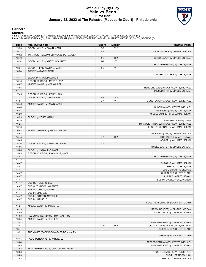#### **Official Play-By-Play Yale vs Penn First Half January 22, 2022 at The Palestra (Macquarie Court) - Philadelphia**



### **Period 1**

| <b>Time</b>    | <b>VISITORS: Yale</b>                 | <b>Score</b> | <b>Margin</b>                    | <b>HOME: Penn</b>                                                |
|----------------|---------------------------------------|--------------|----------------------------------|------------------------------------------------------------------|
| 19:33          | GOOD! LAYUP by SWAIN, AZAR            | $0-2$        | V <sub>2</sub>                   |                                                                  |
| 19:18          |                                       | $2 - 2$      | $\mathsf{T}$                     | GOOD! JUMPER by DINGLE, JORDAN                                   |
| 19:02          | TURNOVER (BADPASS) by GABBIDON, JALEN |              |                                  |                                                                  |
| 18:49          |                                       | $4 - 2$      | H <sub>2</sub>                   | GOOD! LAYUP by DINGLE, JORDAN                                    |
| 18:34          | GOOD! LAYUP by KNOWLING, MATT         | $4 - 4$      | $\mathsf T$                      |                                                                  |
| 18:34          |                                       |              |                                  | FOUL (PERSONAL) by MARTZ, MAX                                    |
| 18:34          | GOOD! FT by KNOWLING, MATT            | $4 - 5$      | V <sub>1</sub>                   |                                                                  |
| 18:34          | ASSIST by SWAIN, AZAR                 |              |                                  |                                                                  |
| 18:17          |                                       |              |                                  | MISSED JUMPER by MARTZ, MAX                                      |
| 18:17          | BLOCK by KNOWLING, MATT               |              |                                  |                                                                  |
| 18:13          | REBOUND (DEF) by MBENG, BEZ           |              |                                  |                                                                  |
| 18:07          | MISSED LAYUP by MBENG, BEZ            |              |                                  |                                                                  |
| 18:05          |                                       |              |                                  | REBOUND (DEF) by MOSHKOVITZ, MICHAEL                             |
| 17:47          |                                       |              |                                  | MISSED 3PTR by DINGLE, JORDAN                                    |
| 17:45          | REBOUND (DEF) by KELLY, ISAIAH        |              |                                  |                                                                  |
| 17:21          | GOOD! LAYUP by MBENG, BEZ             | $4 - 7$      | V <sub>3</sub><br>V <sub>1</sub> |                                                                  |
| 17:01<br>16:46 |                                       | $6 - 7$      |                                  | GOOD! LAYUP by MOSHKOVITZ, MICHAEL                               |
| 16:46          | MISSED LAYUP by SWAIN, AZAR           |              |                                  | BLOCK by MOSHKOVITZ, MICHAEL                                     |
| 16:41          |                                       |              |                                  |                                                                  |
| 16:29          |                                       |              |                                  | REBOUND (DEF) by MARTZ, MAX<br>MISSED JUMPER by WILLIAMS, JELANI |
| 16:29          | BLOCK by KELLY, ISAIAH                |              |                                  |                                                                  |
| 16:29          |                                       |              |                                  | REBOUND (OFF) by TEAM                                            |
| 16:24          |                                       |              |                                  | TURNOVER (TRAVEL) by MOSHKOVITZ, MICHAEL                         |
| 16:13          |                                       |              |                                  | FOUL (PERSONAL) by WILLIAMS, JELANI                              |
| 16:02          | MISSED JUMPER by KNOWLING, MATT       |              |                                  |                                                                  |
| 15:58          |                                       |              |                                  | REBOUND (DEF) by DINGLE, JORDAN                                  |
| 15:45          |                                       | $9 - 7$      | H <sub>2</sub>                   | GOOD! 3PTR by MARTZ, MAX                                         |
| 15:45          |                                       |              |                                  | ASSIST by WILLIAMS, JELANI                                       |
| 15:26          | GOOD! LAYUP by GABBIDON, JALEN        | $9-9$        | $\mathsf{T}$                     |                                                                  |
| 15:06          |                                       |              |                                  | MISSED JUMPER by DINGLE, JORDAN                                  |
| 15:06          | BLOCK by KNOWLING, MATT               |              |                                  |                                                                  |
| 15:03          | REBOUND (DEF) by KNOWLING, MATT       |              |                                  |                                                                  |
| 14:47          |                                       |              |                                  | FOUL (PERSONAL) by MARTZ, MAX                                    |
| 14:47          |                                       |              |                                  |                                                                  |
| 14:47          |                                       |              |                                  | SUB OUT: WILLIAMS, JELANI                                        |
| 14:47          |                                       |              |                                  | SUB OUT: MARTZ, MAX                                              |
| 14:47          |                                       |              |                                  | SUB OUT: SMITH, GEORGE                                           |
| 14:47          |                                       |              |                                  | SUB IN: SLAJCHERT, CLARK                                         |
| 14:47          |                                       |              |                                  | SUB IN: CHARLES, JONAH                                           |
| 14:47          |                                       |              |                                  | SUB IN: LACZKOWSKI, ANDREW                                       |
| 14:47          | SUB OUT: MBENG, BEZ                   |              |                                  |                                                                  |
| 14:47          | SUB OUT: KNOWLING, MATT               |              |                                  |                                                                  |
| 14:47          | SUB OUT: KELLY, ISAIAH                |              |                                  |                                                                  |
| 14:47          | SUB IN: DIKE, EZE                     |              |                                  |                                                                  |
| 14:47          | SUB IN: COTTON, MATTHUE               |              |                                  |                                                                  |
| 14:47          | SUB IN: JARVIS, EJ                    |              |                                  |                                                                  |
| 14:34          |                                       |              |                                  | FOUL (PERSONAL) by SLAJCHERT, CLARK                              |
| 14:21          | MISSED LAYUP by JARVIS, EJ            |              |                                  |                                                                  |
| 14:19          |                                       |              |                                  | REBOUND (DEF) by DINGLE, JORDAN                                  |
| 14:05          |                                       |              |                                  | MISSED 3PTR by CHARLES, JONAH                                    |
| 14:03          | REBOUND (DEF) by COTTON, MATTHUE      |              |                                  |                                                                  |
| 13:54          | MISSED LAYUP by DIKE, EZE             |              |                                  |                                                                  |
| 13:51          |                                       |              |                                  | REBOUND (DEF) by CHARLES, JONAH                                  |
| 13:41          |                                       | $11-9$       | H <sub>2</sub>                   | GOOD! LAYUP by MOSHKOVITZ, MICHAEL                               |
| 13:41          |                                       |              |                                  | ASSIST by SLAJCHERT, CLARK                                       |
| 13:21          | TURNOVER (BADPASS) by GABBIDON, JALEN |              |                                  |                                                                  |
| 13:21          |                                       |              |                                  | STEAL by SLAJCHERT, CLARK                                        |
| 13:15          | FOUL (PERSONAL) by JARVIS, EJ         |              |                                  |                                                                  |
| 13:04          |                                       |              |                                  | MISSED 3PTR by MOSHKOVITZ, MICHAEL                               |
| 13:03          |                                       |              |                                  | REBOUND (OFF) by CHARLES, JONAH                                  |
| 13:03          | FOUL (PERSONAL) by COTTON, MATTHUE    |              |                                  |                                                                  |
| 13:03<br>13:03 |                                       |              |                                  | SUB OUT: MOSHKOVITZ, MICHAEL                                     |
| 13:03          |                                       |              |                                  | SUB IN: SPINOSO, NICK<br>SUB OUT: DINGLE, JORDAN                 |
|                |                                       |              |                                  |                                                                  |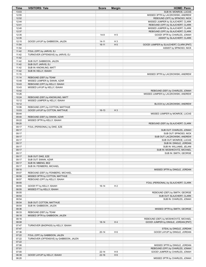| Time           | <b>VISITORS: Yale</b>                      | <b>Score</b> | <b>Margin</b>  | <b>HOME: Penn</b>                                                      |
|----------------|--------------------------------------------|--------------|----------------|------------------------------------------------------------------------|
| 13:03          |                                            |              |                | SUB IN: MONROE, LUCAS                                                  |
| 12:55          |                                            |              |                | MISSED 3PTR by LACZKOWSKI, ANDREW                                      |
| 12:52          |                                            |              |                | REBOUND (OFF) by SPINOSO, NICK                                         |
| 12:44<br>12:41 |                                            |              |                | MISSED JUMPER by SLAJCHERT, CLARK<br>REBOUND (OFF) by SLAJCHERT, CLARK |
| 12:40          |                                            |              |                | MISSED JUMPER by SLAJCHERT, CLARK                                      |
| 12:37          |                                            |              |                | REBOUND (OFF) by SLAJCHERT, CLARK                                      |
| 12:35          |                                            | $14-9$       | H <sub>5</sub> | GOOD! 3PTR by CHARLES, JONAH                                           |
| 12:35          |                                            |              |                | ASSIST by SLAJCHERT, CLARK                                             |
| 12:15          | GOOD! LAYUP by GABBIDON, JALEN             | $14 - 11$    | H <sub>3</sub> |                                                                        |
| 11:54          |                                            | $16 - 11$    | H <sub>5</sub> | GOOD! JUMPER by SLAJCHERT, CLARK [PNT]                                 |
| 11:54<br>11:42 | FOUL (OFF) by JARVIS, EJ                   |              |                | ASSIST by SPINOSO, NICK                                                |
| 11:42          | TURNOVER (OFFENSIVE) by JARVIS, EJ         |              |                |                                                                        |
| 11:42          |                                            |              |                |                                                                        |
| 11:42          | SUB OUT: GABBIDON, JALEN                   |              |                |                                                                        |
| 11:42          | SUB OUT: JARVIS, EJ                        |              |                |                                                                        |
| 11:42          | SUB IN: KNOWLING, MATT                     |              |                |                                                                        |
| 11:42<br>11:15 | SUB IN: KELLY, ISAIAH                      |              |                |                                                                        |
| 11:14          | REBOUND (DEF) by TEAM                      |              |                | MISSED 3PTR by LACZKOWSKI, ANDREW                                      |
| 10:48          | MISSED JUMPER by SWAIN, AZAR               |              |                |                                                                        |
| 10:43          | REBOUND (OFF) by KELLY, ISAIAH             |              |                |                                                                        |
| 10:43          | MISSED LAYUP by KELLY, ISAIAH              |              |                |                                                                        |
| 10:42          |                                            |              |                | REBOUND (DEF) by CHARLES, JONAH                                        |
| 10:26          |                                            |              |                | MISSED JUMPER by LACZKOWSKI, ANDREW                                    |
| 10:24          | REBOUND (DEF) by KNOWLING, MATT            |              |                |                                                                        |
| 10:12<br>10:12 | MISSED JUMPER by KELLY, ISAIAH             |              |                | BLOCK by LACZKOWSKI, ANDREW                                            |
| 10:06          | REBOUND (OFF) by COTTON, MATTHUE           |              |                |                                                                        |
| 10:03          | GOOD! LAYUP by COTTON, MATTHUE             | $16-13$      | $H_3$          |                                                                        |
| 09:44          |                                            |              |                | MISSED JUMPER by MONROE, LUCAS                                         |
| 09:40          | REBOUND (DEF) by SWAIN, AZAR               |              |                |                                                                        |
| 09:22          | MISSED 3PTR by KELLY, ISAIAH               |              |                |                                                                        |
| 09:20          |                                            |              |                | REBOUND (DEF) by SLAJCHERT, CLARK                                      |
| 09:17<br>09:17 | FOUL (PERSONAL) by DIKE, EZE               |              |                |                                                                        |
| 09:17          |                                            |              |                | SUB OUT: CHARLES, JONAH<br>SUB OUT: SPINOSO, NICK                      |
| 09:17          |                                            |              |                | SUB OUT: LACZKOWSKI, ANDREW                                            |
| 09:17          |                                            |              |                | SUB OUT: MONROE, LUCAS                                                 |
| 09:17          |                                            |              |                | SUB IN: DINGLE, JORDAN                                                 |
| 09:17          |                                            |              |                | SUB IN: WILLIAMS, JELANI                                               |
| 09:17          |                                            |              |                | SUB IN: MOSHKOVITZ, MICHAEL                                            |
| 09:17          |                                            |              |                | SUB IN: SMITH, GEORGE                                                  |
| 09:17<br>09:17 | SUB OUT: DIKE, EZE<br>SUB OUT: SWAIN, AZAR |              |                |                                                                        |
| 09:17          | SUB IN: MBENG, BEZ                         |              |                |                                                                        |
| 09:17          | SUB IN: FEINBERG, MICHAEL                  |              |                |                                                                        |
| 09:10          |                                            |              |                | MISSED 3PTR by DINGLE, JORDAN                                          |
| 09:07          | REBOUND (DEF) by FEINBERG, MICHAEL         |              |                |                                                                        |
| 08:58          | MISSED 3PTR by COTTON, MATTHUE             |              |                |                                                                        |
| 08:57          | REBOUND (OFF) by KELLY, ISAIAH             |              |                |                                                                        |
| 08:55<br>08:55 | GOOD! FT by KELLY, ISAIAH                  | $16 - 14$    | H <sub>2</sub> | FOUL (PERSONAL) by SLAJCHERT, CLARK                                    |
| 08:55          | MISSED FT by KELLY, ISAIAH                 |              |                |                                                                        |
| 08:55          |                                            |              |                | REBOUND (DEF) by SMITH, GEORGE                                         |
| 08:54          |                                            |              |                | SUB OUT: SLAJCHERT, CLARK                                              |
| 08:54          |                                            |              |                | SUB IN: CHARLES, JONAH                                                 |
| 08:54          | SUB OUT: COTTON, MATTHUE                   |              |                |                                                                        |
| 08:54          | SUB IN: GABBIDON, JALEN                    |              |                |                                                                        |
| 08:36<br>08:33 | REBOUND (DEF) by TEAM                      |              |                | MISSED 3PTR by SMITH, GEORGE                                           |
| 08:18          | MISSED 3PTR by GABBIDON, JALEN             |              |                |                                                                        |
| 08:16          |                                            |              |                | REBOUND (DEF) by MOSHKOVITZ, MICHAEL                                   |
| 08:08          |                                            | $18-14$      | H4             | GOOD! JUMPER by DINGLE, JORDAN [PNT]                                   |
| 07:47          | TURNOVER (BADPASS) by KELLY, ISAIAH        |              |                |                                                                        |
| 07:47          |                                            |              |                | STEAL by DINGLE, JORDAN                                                |
| 07:36          |                                            | $20 - 14$    | H <sub>6</sub> | GOOD! LAYUP by DINGLE, JORDAN                                          |
| 07:22          | FOUL (OFF) by GABBIDON, JALEN              |              |                |                                                                        |
| 07:22<br>07:22 | TURNOVER (OFFENSIVE) by GABBIDON, JALEN    |              |                |                                                                        |
| 07:06          |                                            |              |                | MISSED 3PTR by DINGLE, JORDAN                                          |
| 07:01          |                                            |              |                | REBOUND (OFF) by CHARLES, JONAH                                        |
| 07:00          |                                            | $22 - 14$    | H 8            | GOOD! JUMPER by CHARLES, JONAH                                         |
| 06:39          | GOOD! LAYUP by KELLY, ISAIAH               | $22 - 16$    | H <sub>6</sub> |                                                                        |
| 06:20          |                                            |              |                | MISSED 3PTR by CHARLES, JONAH                                          |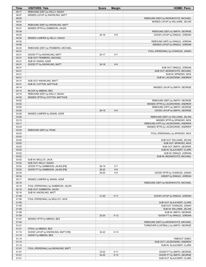| Time           | <b>VISITORS: Yale</b>              | <b>Score</b> | <b>Margin</b>  | <b>HOME: Penn</b>                                |
|----------------|------------------------------------|--------------|----------------|--------------------------------------------------|
| 06:17          | REBOUND (DEF) by KELLY, ISAIAH     |              |                |                                                  |
| 06:07          | MISSED LAYUP by KNOWLING, MATT     |              |                |                                                  |
| 06:05          |                                    |              |                | REBOUND (DEF) by MOSHKOVITZ, MICHAEL             |
| 05:57          |                                    |              |                | MISSED LAYUP by WILLIAMS, JELANI                 |
| 05:55          | REBOUND (DEF) by KNOWLING, MATT    |              |                |                                                  |
| 05:41          | MISSED 3PTR by GABBIDON, JALEN     |              |                |                                                  |
| 05:39          |                                    |              |                | REBOUND (DEF) by SMITH, GEORGE                   |
| 05:23          |                                    | $24 - 16$    | H <sub>8</sub> | GOOD! LAYUP by DINGLE, JORDAN                    |
| 04:54          | MISSED JUMPER by KELLY, ISAIAH     |              |                |                                                  |
| 04:52<br>04:46 |                                    |              |                | REBOUND (DEF) by DINGLE, JORDAN                  |
| 04:43          | REBOUND (DEF) by FEINBERG, MICHAEL |              |                | MISSED LAYUP by DINGLE, JORDAN                   |
| 04:31          |                                    |              |                | FOUL (PERSONAL) by CHARLES, JONAH                |
| 04:31          | GOOD! FT by KNOWLING, MATT         | $24 - 17$    | H <sub>7</sub> |                                                  |
| 04:31          | SUB OUT: FEINBERG, MICHAEL         |              |                |                                                  |
| 04:31          | SUB IN: SWAIN, AZAR                |              |                |                                                  |
| 04:31          | GOOD! FT by KNOWLING, MATT         | $24-18$      | H <sub>6</sub> |                                                  |
| 04:31          |                                    |              |                | SUB OUT: DINGLE, JORDAN                          |
| 04:31          |                                    |              |                | SUB OUT: MOSHKOVITZ, MICHAEL                     |
| 04:31          |                                    |              |                | SUB IN: SPINOSO, NICK                            |
| 04:31          |                                    |              |                | SUB IN: LACZKOWSKI, ANDREW                       |
| 04:31          | SUB OUT: KNOWLING, MATT            |              |                |                                                  |
| 04:31          | SUB IN: COTTON, MATTHUE            |              |                |                                                  |
| 04:14          |                                    |              |                | MISSED LAYUP by SMITH, GEORGE                    |
| 04:14          | BLOCK by MBENG, BEZ                |              |                |                                                  |
| 04:10          | REBOUND (DEF) by KELLY, ISAIAH     |              |                |                                                  |
| 04:05          | MISSED 3PTR by COTTON, MATTHUE     |              |                |                                                  |
| 04:02          |                                    |              |                | REBOUND (DEF) by SMITH, GEORGE                   |
| 03:53          |                                    |              |                | MISSED 3PTR by LACZKOWSKI, ANDREW                |
| 03:50          |                                    |              |                | REBOUND (OFF) by SMITH, GEORGE                   |
| 03:50          |                                    | $26-18$      | H 8            | GOOD! LAYUP by SMITH, GEORGE                     |
| 03:28          | MISSED JUMPER by SWAIN, AZAR       |              |                |                                                  |
| 03:26          |                                    |              |                | REBOUND (DEF) by WILLIAMS, JELANI                |
| 03:15          |                                    |              |                | MISSED 3PTR by SPINOSO, NICK                     |
| 03:11          |                                    |              |                | REBOUND (OFF) by LACZKOWSKI, ANDREW              |
| 03:03          |                                    |              |                | MISSED 3PTR by LACZKOWSKI, ANDREW                |
| 03:03          | REBOUND (DEF) by TEAM              |              |                |                                                  |
| 03:03          |                                    |              |                | FOUL (PERSONAL) by SPINOSO, NICK                 |
| 03:03          |                                    |              |                |                                                  |
| 03:02<br>03:02 |                                    |              |                | SUB OUT: WILLIAMS, JELANI                        |
| 03:02          |                                    |              |                | SUB OUT: SPINOSO, NICK<br>SUB OUT: SMITH, GEORGE |
| 03:02          |                                    |              |                | SUB IN: SLAJCHERT, CLARK                         |
| 03:02          |                                    |              |                | SUB IN: DINGLE, JORDAN                           |
| 03:02          |                                    |              |                | SUB IN: MOSHKOVITZ, MICHAEL                      |
| 03:02          | SUB IN: MOLLOY, JACK               |              |                |                                                  |
| 03:02          | SUB OUT: KELLY, ISAIAH             |              |                |                                                  |
| 03:02          | GOOD! FT by GABBIDON, JALEN [FB]   | 26-19        | H 7            |                                                  |
| 03:02          | GOOD! FT by GABBIDON, JALEN [FB]   | 26-20        | H <sub>6</sub> |                                                  |
| 02:34          |                                    | 29-20        | H9             | GOOD! 3PTR by CHARLES, JONAH                     |
| 02:34          |                                    |              |                | ASSIST by DINGLE, JORDAN                         |
| 02:17          | MISSED JUMPER by SWAIN, AZAR       |              |                |                                                  |
| 02:16          |                                    |              |                | REBOUND (DEF) by MOSHKOVITZ, MICHAEL             |
| 02:16          | FOUL (PERSONAL) by GABBIDON, JALEN |              |                |                                                  |
| 02:16          | SUB OUT: GABBIDON, JALEN           |              |                |                                                  |
| 02:16          | SUB IN: KNOWLING, MATT             |              |                |                                                  |
| 01:59          |                                    | $31 - 20$    | H 11           | GOOD! LAYUP by DINGLE, JORDAN                    |
| 01:59          | FOUL (PERSONAL) by MOLLOY, JACK    |              |                |                                                  |
| 01:59          |                                    |              |                | SUB OUT: SLAJCHERT, CLARK                        |
| 01:59          |                                    |              |                | SUB OUT: CHARLES, JONAH                          |
| 01:59          |                                    |              |                | SUB IN: WILLIAMS, JELANI                         |
| 01:59          |                                    |              |                | SUB IN: SMITH, GEORGE                            |
| 01:59          |                                    | 32-20        | H 12           | GOOD! FT by DINGLE, JORDAN                       |
| 01:47          | MISSED 3PTR by MBENG, BEZ          |              |                |                                                  |
| 01:45          |                                    |              |                | REBOUND (DEF) by MOSHKOVITZ, MICHAEL             |
| 01:21          |                                    |              |                | TURNOVER (LOSTBALL) by SMITH, GEORGE             |
| 01:21          | STEAL by MBENG, BEZ                |              |                |                                                  |
| 01:15          | GOOD! LAYUP by KNOWLING, MATT [FB] | 32-22        | H 10           |                                                  |
| 01:15<br>01:14 | ASSIST by MBENG, BEZ               |              |                |                                                  |
| 01:14          |                                    |              |                | TIMEOUT 30SEC<br>SUB OUT: LACZKOWSKI, ANDREW     |
| 01:14          |                                    |              |                | SUB IN: SLAJCHERT, CLARK                         |
| 01:01          | FOUL (PERSONAL) by KNOWLING, MATT  |              |                |                                                  |
| 01:01          |                                    | 33-22        | H 11           | GOOD! FT by SMITH, GEORGE                        |
| 01:01          |                                    | 34-22        | H 12           | GOOD! FT by SMITH, GEORGE                        |
| 01:01          |                                    |              |                | SUB OUT: SLAJCHERT, CLARK                        |
|                |                                    |              |                |                                                  |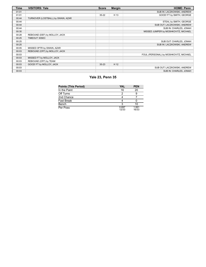| <b>Time</b> | <b>VISITORS: Yale</b>              | <b>Score</b> | <b>Margin</b> | <b>HOME: Penn</b>                      |
|-------------|------------------------------------|--------------|---------------|----------------------------------------|
| 01:01       |                                    |              |               | SUB IN: LACZKOWSKI, ANDREW             |
| 01:01       |                                    | $35 - 22$    | H 13          | GOOD! FT by SMITH, GEORGE              |
| 00:44       | TURNOVER (LOSTBALL) by SWAIN, AZAR |              |               |                                        |
| 00:44       |                                    |              |               | STEAL by SMITH, GEORGE                 |
| 00:44       |                                    |              |               | SUB OUT: LACZKOWSKI, ANDREW            |
| 00:44       |                                    |              |               | SUB IN: CHARLES, JONAH                 |
| 00:30       |                                    |              |               | MISSED JUMPER by MOSHKOVITZ, MICHAEL   |
| 00:28       | REBOUND (DEF) by MOLLOY, JACK      |              |               |                                        |
| 00:25       | TIMEOUT 30SEC                      |              |               |                                        |
| 00:25       |                                    |              |               | SUB OUT: CHARLES, JONAH                |
| 00:25       |                                    |              |               | SUB IN: LACZKOWSKI, ANDREW             |
| 00:05       | MISSED 3PTR by SWAIN, AZAR         |              |               |                                        |
| 00:03       | REBOUND (OFF) by MOLLOY, JACK      |              |               |                                        |
| 00:03       |                                    |              |               | FOUL (PERSONAL) by MOSHKOVITZ, MICHAEL |
| 00:03       | MISSED FT by MOLLOY, JACK          |              |               |                                        |
| 00:03       | REBOUND (OFF) by TEAM              |              |               |                                        |
| 00:03       | GOOD! FT by MOLLOY, JACK           | $35 - 23$    | H 12          |                                        |
| 00:03       |                                    |              |               | SUB OUT: LACZKOWSKI, ANDREW            |
| 00:03       |                                    |              |               | SUB IN: CHARLES, JONAH                 |

# **Yale 23, Penn 35**

| <b>Points (This Period)</b> | <b>YAL</b>     | <b>PEN</b>     |
|-----------------------------|----------------|----------------|
| In the Paint                | 16             | 20             |
| Off Turns                   |                |                |
| 2nd Chance                  |                |                |
| Fast Break                  |                |                |
| Bench                       |                | 10             |
| Per Poss                    | 0.697<br>12/33 | 1.061<br>16/33 |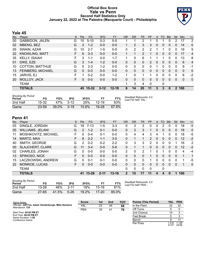#### **Official Box Score Yale vs Penn Second Half Statistics Only January 22, 2022 at The Palestra (Macquarie Court) - Philadelphia**



# **Yale 45**

| No. | Player                 | S  | <b>Pts</b>      | FG       | 3FG      | <b>FT</b> | <b>OR</b>    | <b>DR</b> | TR                    | PF            | A        | <b>TO</b> | <b>Blk</b>     | Stl      | Min      | $+/-$          |
|-----|------------------------|----|-----------------|----------|----------|-----------|--------------|-----------|-----------------------|---------------|----------|-----------|----------------|----------|----------|----------------|
| 00  | <b>GABBIDON, JALEN</b> | G  | 15 <sub>1</sub> | $5 - 10$ | $0 - 3$  | $5 - 5$   |              |           | 2                     |               | 0        |           | 0              | 2        | 17       | 2              |
| 02  | MBENG, BEZ             | G  | 2               | $1 - 2$  | $0 - 0$  | $0 - 0$   |              | 2         | 3                     | 3             | 0        | 0         | $\mathbf{0}$   | 0        | 14       | $\Omega$       |
| 05  | SWAIN, AZAR            | G  | 10              | $2 - 7$  | 1-5      | $5 - 5$   | 0            | 2         | 2                     | 2             | 1        |           | 0              | 0        | 19       | 5              |
| 22  | <b>KNOWLING, MATT</b>  | F. | 6               | $3 - 3$  | $0 - 0$  | $0 - 0$   | $\mathbf{1}$ | 1         | $\mathbf{2}^{\prime}$ |               | 0        | 0         | $\mathbf{0}$   | 0        | 17       | 4              |
| 35  | <b>KELLY, ISAIAH</b>   | F  | 3               | $1 - 1$  | $0 - 0$  | $1 - 7$   | 1.           | 5         | 6                     |               | 1        |           | $\Omega$       | 0        | 13       | 8              |
| 01  | DIKE, EZE              | G  | 3               | $1 - 4$  | $1 - 2$  | $0 - 0$   | 0            | 0         | $\mathbf{0}$          | $\mathcal{P}$ | 0        | 0         | $\overline{0}$ | $\Omega$ | 6        | $\overline{4}$ |
| 10  | COTTON, MATTHUE        | G  | 5               | $2 - 3$  | 1-2      | $0 - 0$   | 0            | 0         | $\Omega$              | 0             | 1        | 0         | 0              | 0        | 9        | -1             |
| 13  | FEINBERG, MICHAEL      | G  | 0               | $0 - 0$  | $0 - 0$  | $0 - 0$   | $\Omega$     | 0         | $\mathbf{0}$          | 0             | 0        | 0         | $\mathbf{0}$   | $\Omega$ | $\Omega$ | $\Omega$       |
| 15  | JARVIS, EJ             | F  | 1               | $0 - 2$  | $0 - 0$  | $1 - 2$   | 1.           | $\Omega$  | 1.                    |               | 0        | 0         | 0              | $\Omega$ | 6        | $-2$           |
| 20  | MOLLOY, JACK           | F. | 0               | $0 - 0$  | $0 - 0$  | $0 - 0$   | $\Omega$     | $\Omega$  | $\Omega$              | $\Omega$      | $\Omega$ | 0         | $\Omega$       | $\Omega$ | $\Omega$ | $\mathbf{0}$   |
|     | <b>TEAM</b>            |    |                 |          |          |           |              | 3         | 4                     | $\Omega$      |          | 0         |                |          |          |                |
|     | <b>TOTALS</b>          |    |                 | 45 15-32 | $3 - 12$ | $12 - 19$ | 6            | 14        | 20                    | 11            | 3        | 3         | 0              |          | 2 100    |                |
|     |                        |    |                 |          |          |           |              |           |                       |               |          |           |                |          |          |                |

| <b>Shooting By Period</b><br>Period | FG    | FG%   | 3FG      | 3FG%     |           | FT%   | Deadball Rebounds: 4,0<br>Last FG Half: YAL - |
|-------------------------------------|-------|-------|----------|----------|-----------|-------|-----------------------------------------------|
| 2nd Half                            | 15-32 | 47%   | $3-12$   | 25%      | $12 - 19$ | 63%   |                                               |
| Game                                | 23-59 | 39.0% | $3 - 19$ | $15.8\%$ | 19-28     | 67.9% |                                               |

# **Penn 41**

| No. | Plaver                  | S  | <b>Pts</b>    | <b>FG</b> | 3FG      | <b>FT</b> | <b>OR</b>      | DR | TR       | PF       | A        | TO | <b>Blk</b>     | Stl      | Min | $+/-$        |
|-----|-------------------------|----|---------------|-----------|----------|-----------|----------------|----|----------|----------|----------|----|----------------|----------|-----|--------------|
| 03  | DINGLE, JORDAN          | G  | 18            | $7 - 13$  | 1-5      | 3-3       | 0              | 3  | 3        | 0        | 0        | 2  | 0              | 0        | 18  | $-5$         |
| 05  | WILLIAMS, JELANI        | G  | $\mathcal{P}$ | $1 - 2$   | $0 - 1$  | $0 - 0$   | 0              | 3  | 3        |          | 0        | 0  | $\overline{0}$ | 0        | 18  | $\Omega$     |
| 11  | MOSHKOVITZ, MICHAEL     | F. | 0             | $0 - 4$   | $0 - 1$  | $0 - 0$   | 0              | 4  | 4        | 3        | 4        |    | 0              | 0        | 18  | -5           |
| 14  | MARTZ, MAX              | F  | 8             | $2 - 2$   | $1 - 1$  | $3 - 5$   | 0              |    |          | 2        | $\Omega$ | 0  | $\mathbf{0}$   | $\Omega$ | 12  | $-2$         |
| 40  | SMITH, GEORGE           | G  | 2             | $0 - 2$   | $0 - 2$  | $2 - 2$   | 0              | 3  | 3        | 2        | 0        | 0  | $\mathbf{0}$   |          | 16  | 2            |
| 00  | <b>SLAJCHERT, CLARK</b> | G  | 11            | $3 - 4$   | $0 - 0$  | $5-6$     | $\Omega$       |    |          | 0        | $\Omega$ | 0  | $\Omega$       | 0        | 12  | $-2$         |
| 02  | CHARLES, JONAH          | G  | 0             | $0 - 0$   | $0 - 0$  | $0 - 0$   | 2              | 0  | 2        |          | 0        |    | 0              | 0        | 4   | -4           |
| 13  | SPINOSO, NICK           | F  | 0             | $0 - 0$   | $0 - 0$  | $0 - 0$   | 0              | 0  | $\Omega$ |          | 0        | 0  | $\Omega$       | $\Omega$ | 1   | 1            |
| 15  | LACZKOWSKI, ANDREW      | G  | 0             | $0 - 1$   | $0 - 1$  | $0 - 0$   | 0              | 0  | 0        |          | 0        | 0  | 0              | 0        |     | -5           |
| 22  | MONROE, LUCAS           | F  | 0             | $0 - 0$   | $0 - 0$  | $0 - 0$   | 0              | 0  | $\Omega$ | 0        | 0        | 0  | 0              | 0        |     | $\mathbf{0}$ |
|     | <b>TEAM</b>             |    |               |           |          |           | $\Omega$       | 0  | 0        | $\Omega$ |          | 0  |                |          |     |              |
|     | <b>TOTALS</b>           |    | 41            | 13-28     | $2 - 11$ | $13 - 16$ | $\overline{2}$ | 15 | 17       | 11       | 4        | 4  | 0              |          | 100 |              |

| <b>Shooting By Period</b><br>Period | FG        | FG%   | 3FG      | 3FG%  | FТ        | FT%   |
|-------------------------------------|-----------|-------|----------|-------|-----------|-------|
| 2nd Half                            | 13-28     | 46%   | $2 - 11$ | 18%   | $13 - 16$ | 81%   |
| Game                                | $27 - 65$ | 41.5% | $5 - 26$ | 19.2% | $17 - 20$ | 85.0% |

*Deadball Rebounds:* 2,0 *Last FG Half:* PEN -

| Game Notes:                                                            | <b>Score</b> | 1st | 2 <sub>nd</sub> | <b>TOT</b> | <b>Points (This Period)</b> | <b>YAL</b>     | <b>PEN</b>     |
|------------------------------------------------------------------------|--------------|-----|-----------------|------------|-----------------------------|----------------|----------------|
| Officials: Jeff Fox, Adam Vandenburgh, Mike Nardone<br>Attendance: 125 | <b>YAL</b>   | 23  | 45              | 68         | In the Paint                |                | 22             |
|                                                                        | <b>PEN</b>   | 35  | 41              | 76         | Off Turns                   |                |                |
| Start Time: 04:02 PM ET                                                |              |     |                 |            | 2nd Chance                  |                | ີ              |
| End Time: 06:02 PM ET<br>Game Duration: 1:59                           |              |     |                 |            | <b>Fast Break</b>           |                |                |
| Conference Game:                                                       |              |     |                 |            | Bench                       |                |                |
|                                                                        |              |     |                 |            | Per Poss                    | 1.216<br>21/37 | 1.139<br>20/36 |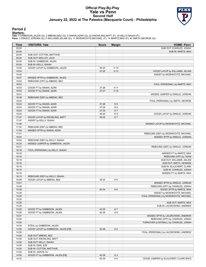#### **Official Play-By-Play Yale vs Penn Second Half January 22, 2022 at The Palestra (Macquarie Court) - Philadelphia**



### **Period 2**

| Time           | <b>VISITORS: Yale</b>               | <b>Score</b> | <b>Margin</b>  | <b>HOME: Penn</b>                      |
|----------------|-------------------------------------|--------------|----------------|----------------------------------------|
| 20:00          |                                     |              |                | SUB OUT: CHARLES, JONAH                |
| 20:00          |                                     |              |                | SUB IN: MARTZ, MAX                     |
| 20:00          | SUB OUT: COTTON, MATTHUE            |              |                |                                        |
| 20:00          | SUB OUT: MOLLOY, JACK               |              |                |                                        |
| 20:00          | SUB IN: GABBIDON, JALEN             |              |                |                                        |
| 20:00          | SUB IN: KELLY, ISAIAH               |              |                |                                        |
| 19:49          | GOOD! LAYUP by GABBIDON, JALEN      | 35-25        | H 10           |                                        |
| 19:24          |                                     | $37 - 25$    | H 12           | GOOD! LAYUP by WILLIAMS, JELANI        |
| 19:24          |                                     |              |                | ASSIST by MOSHKOVITZ, MICHAEL          |
| 19:07          | MISSED 3PTR by GABBIDON, JALEN      |              |                |                                        |
| 19:04          | REBOUND (OFF) by MBENG, BEZ         |              |                |                                        |
| 18:53          |                                     |              |                | FOUL (PERSONAL) by MARTZ, MAX          |
| 18:53          | GOOD! FT by SWAIN, AZAR             | 37-26        | H 11           |                                        |
| 18:53<br>18:41 | GOOD! FT by SWAIN, AZAR             | $37 - 27$    | H 10           |                                        |
| 18:38          | REBOUND (DEF) by MBENG, BEZ         |              |                | MISSED JUMPER by DINGLE, JORDAN        |
| 18:24          |                                     |              |                | FOUL (PERSONAL) by SMITH, GEORGE       |
| 18:24          | GOOD! FT by SWAIN, AZAR             | 37-28        | H9             |                                        |
| 18:24          | GOOD! FT by SWAIN, AZAR             | 37-29        | H <sub>8</sub> |                                        |
| 18:24          | GOOD! FT by SWAIN, AZAR             | 37-30        | H 7            |                                        |
| 18:04          |                                     | 39-30        | H <sub>9</sub> | GOOD! LAYUP by DINGLE, JORDAN          |
| 17:47          | GOOD! LAYUP by KNOWLING, MATT       | 39-32        | H 7            |                                        |
| 17:47          | ASSIST by KELLY, ISAIAH             |              |                |                                        |
| 17:26          |                                     |              |                | MISSED LAYUP by MOSHKOVITZ, MICHAEL    |
| 17:22          | REBOUND (DEF) by MBENG, BEZ         |              |                |                                        |
| 17:04          | MISSED 3PTR by SWAIN, AZAR          |              |                |                                        |
| 17:01          |                                     |              |                | REBOUND (DEF) by MOSHKOVITZ, MICHAEL   |
| 16:53          |                                     |              |                | MISSED 3PTR by DINGLE, JORDAN          |
| 16:52          | REBOUND (DEF) by KELLY, ISAIAH      |              |                |                                        |
| 16:33          | MISSED JUMPER by GABBIDON, JALEN    |              |                |                                        |
| 16:31          |                                     |              |                | REBOUND (DEF) by DINGLE, JORDAN        |
| 16:16          | FOUL (PERSONAL) by KELLY, ISAIAH    |              |                |                                        |
| 16:16          |                                     |              |                | MISSED FT by MARTZ, MAX                |
| 16:16          |                                     |              |                | REBOUND (OFF) by TEAM                  |
| 16:16          |                                     |              |                | SUB OUT: WILLIAMS, JELANI              |
| 16:16          |                                     |              |                | SUB OUT: SMITH, GEORGE                 |
| 16:16          |                                     |              |                | SUB IN: SLAJCHERT, CLARK               |
| 16:16          |                                     |              |                | SUB IN: CHARLES, JONAH                 |
| 16:16          |                                     |              |                | MISSED FT by MARTZ, MAX                |
| 16:15          | REBOUND (DEF) by KELLY, ISAIAH      |              |                |                                        |
| 16:05          | GOOD! LAYUP by MBENG, BEZ           | 39-34        | H <sub>5</sub> |                                        |
| 15:51          |                                     |              |                | MISSED 3PTR by DINGLE, JORDAN          |
| 15:48          |                                     |              |                | REBOUND (OFF) by CHARLES, JONAH        |
| 15:39          |                                     | 42-34        | H <sub>8</sub> | GOOD! 3PTR by MARTZ, MAX               |
| 15:39          |                                     |              |                | ASSIST by MOSHKOVITZ, MICHAEL          |
| 15:20          |                                     |              |                | FOUL (PERSONAL) by MOSHKOVITZ, MICHAEL |
| 15:20          |                                     |              |                |                                        |
| 15:20          |                                     |              |                | SUB OUT: MARTZ, MAX                    |
| 15:20          |                                     |              |                | SUB IN: LACZKOWSKI, ANDREW             |
| 15:20          | GOOD! FT by GABBIDON, JALEN         | 42-35        | H 7            |                                        |
| 15:20<br>15:07 | GOOD! FT by GABBIDON, JALEN         | 42-36        | H <sub>6</sub> | MISSED 3PTR by LACZKOWSKI, ANDREW      |
| 15:04          |                                     |              |                | REBOUND (OFF) by CHARLES, JONAH        |
| 14:54          |                                     |              |                | TURNOVER (LOSTBALL) by CHARLES, JONAH  |
| 14:54          | STEAL by GABBIDON, JALEN            |              |                |                                        |
| 14:50          | GOOD! LAYUP by GABBIDON, JALEN [FB] | 42-38        | H4             |                                        |
| 14:50          |                                     |              |                | FOUL (PERSONAL) by LACZKOWSKI, ANDREW  |
| 14:50          | SUB OUT: MBENG, BEZ                 |              |                |                                        |
| 14:50          | SUB OUT: KNOWLING, MATT             |              |                |                                        |
| 14:50          | SUB OUT: KELLY, ISAIAH              |              |                |                                        |
| 14:50          | SUB IN: DIKE, EZE                   |              |                |                                        |
| 14:50          | SUB IN: COTTON, MATTHUE             |              |                |                                        |
| 14:50          | SUB IN: JARVIS, EJ                  |              |                |                                        |
| 14:50          | GOOD! FT by GABBIDON, JALEN [FB]    | 42-39        | $H_3$          |                                        |
| 14:33          |                                     | 44-39        | H <sub>5</sub> | GOOD! JUMPER by SLAJCHERT, CLARK [PNT] |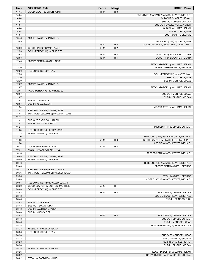| Time           | <b>VISITORS: Yale</b>                               | <b>Score</b> | <b>Margin</b>  | <b>HOME: Penn</b>                                                    |
|----------------|-----------------------------------------------------|--------------|----------------|----------------------------------------------------------------------|
| 14:15          | GOOD! LAYUP by SWAIN, AZAR                          | 44-41        | $H_3$          |                                                                      |
| 14:04          |                                                     |              |                | TURNOVER (BADPASS) by MOSHKOVITZ, MICHAEL                            |
| 14:04          |                                                     |              |                | SUB OUT: CHARLES, JONAH                                              |
| 14:04          |                                                     |              |                | SUB OUT: DINGLE, JORDAN                                              |
| 14:04<br>14:04 |                                                     |              |                | SUB OUT: LACZKOWSKI, ANDREW<br>SUB IN: WILLIAMS, JELANI              |
| 14:04          |                                                     |              |                | SUB IN: MARTZ, MAX                                                   |
| 14:04          |                                                     |              |                | SUB IN: SMITH, GEORGE                                                |
| 13:48          | MISSED LAYUP by JARVIS, EJ                          |              |                |                                                                      |
| 13:45          |                                                     |              |                | REBOUND (DEF) by MARTZ, MAX                                          |
| 13:23          |                                                     | 46-41        | H <sub>5</sub> | GOOD! JUMPER by SLAJCHERT, CLARK [PNT]                               |
| 13:09          | GOOD! 3PTR by SWAIN, AZAR                           | 46-44        | H <sub>2</sub> |                                                                      |
| 12:53          | FOUL (PERSONAL) by DIKE, EZE                        |              |                |                                                                      |
| 12:53          |                                                     | 47-44        | H <sub>3</sub> | GOOD! FT by SLAJCHERT, CLARK                                         |
| 12:53          |                                                     | 48-44        | H4             | GOOD! FT by SLAJCHERT, CLARK                                         |
| 12:40<br>12:37 | MISSED 3PTR by SWAIN, AZAR                          |              |                | REBOUND (DEF) by WILLIAMS, JELANI                                    |
| 12:20          |                                                     |              |                | MISSED 3PTR by SMITH, GEORGE                                         |
| 12:20          | REBOUND (DEF) by TEAM                               |              |                |                                                                      |
| 12:20          |                                                     |              |                | FOUL (PERSONAL) by MARTZ, MAX                                        |
| 12:20          |                                                     |              |                | SUB OUT: MARTZ, MAX                                                  |
| 12:20          |                                                     |              |                | SUB IN: MONROE, LUCAS                                                |
| 12:07          | MISSED LAYUP by JARVIS, EJ                          |              |                |                                                                      |
| 12:07          |                                                     |              |                | REBOUND (DEF) by WILLIAMS, JELANI                                    |
| 12:07          | FOUL (PERSONAL) by JARVIS, EJ                       |              |                |                                                                      |
| 12:07          |                                                     |              |                | SUB OUT: MONROE, LUCAS                                               |
| 12:07<br>12:07 | SUB OUT: JARVIS, EJ                                 |              |                | SUB IN: DINGLE, JORDAN                                               |
| 12:07          | SUB IN: KELLY, ISAIAH                               |              |                |                                                                      |
| 11:54          |                                                     |              |                | MISSED 3PTR by WILLIAMS, JELANI                                      |
| 11:51          | REBOUND (DEF) by SWAIN, AZAR                        |              |                |                                                                      |
| 11:41          | TURNOVER (BADPASS) by SWAIN, AZAR                   |              |                |                                                                      |
| 11:41          |                                                     |              |                |                                                                      |
| 11:41          | SUB OUT: GABBIDON, JALEN                            |              |                |                                                                      |
| 11:41          | SUB IN: KNOWLING, MATT                              |              |                |                                                                      |
| 11:27          |                                                     |              |                | MISSED 3PTR by DINGLE, JORDAN                                        |
| 11:25<br>11:13 | REBOUND (DEF) by KELLY, ISAIAH                      |              |                |                                                                      |
| 11:10          | MISSED LAYUP by DIKE, EZE                           |              |                | REBOUND (DEF) by MOSHKOVITZ, MICHAEL                                 |
| 11:00          |                                                     | 50-44        | H <sub>6</sub> | GOOD! JUMPER by SLAJCHERT, CLARK [PNT]                               |
| 11:00          |                                                     |              |                | ASSIST by MOSHKOVITZ, MICHAEL                                        |
| 10:34          | GOOD! 3PTR by DIKE, EZE                             | 50-47        | H <sub>3</sub> |                                                                      |
| 10:34          | ASSIST by COTTON, MATTHUE                           |              |                |                                                                      |
| 10:10          |                                                     |              |                | MISSED 3PTR by MOSHKOVITZ, MICHAEL                                   |
| 10:08          | REBOUND (DEF) by SWAIN, AZAR                        |              |                |                                                                      |
| 09:49          | MISSED LAYUP by DIKE, EZE                           |              |                |                                                                      |
| 09:46<br>09:40 |                                                     |              |                | REBOUND (DEF) by MOSHKOVITZ, MICHAEL<br>MISSED 3PTR by SMITH, GEORGE |
| 09:37          | REBOUND (DEF) by KELLY, ISAIAH                      |              |                |                                                                      |
| 09:36          | TURNOVER (BADPASS) by KELLY, ISAIAH                 |              |                |                                                                      |
| 09:36          |                                                     |              |                | STEAL by SMITH, GEORGE                                               |
| 09:08          |                                                     |              |                | MISSED LAYUP by MOSHKOVITZ, MICHAEL                                  |
| 09:05          | REBOUND (DEF) by KNOWLING, MATT                     |              |                |                                                                      |
| 08:59          | GOOD! JUMPER by COTTON, MATTHUE                     | 50-49        | H <sub>1</sub> |                                                                      |
| 08:48          | FOUL (PERSONAL) by DIKE, EZE                        |              |                |                                                                      |
| 08:48          |                                                     | 51-49        | H <sub>2</sub> | GOOD! FT by DINGLE, JORDAN                                           |
| 08:48<br>08:48 |                                                     |              |                | SUB OUT: MOSHKOVITZ, MICHAEL<br>SUB IN: SPINOSO, NICK                |
| 08:48          | SUB OUT: DIKE, EZE                                  |              |                |                                                                      |
| 08:48          | SUB OUT: SWAIN, AZAR                                |              |                |                                                                      |
| 08:48          | SUB IN: GABBIDON, JALEN                             |              |                |                                                                      |
| 08:48          | SUB IN: MBENG, BEZ                                  |              |                |                                                                      |
| 08:48          |                                                     | 52-49        | $H_3$          | GOOD! FT by DINGLE, JORDAN                                           |
| 08:48          |                                                     |              |                | SUB OUT: DINGLE, JORDAN                                              |
| 08:48          |                                                     |              |                | SUB IN: MONROE, LUCAS                                                |
| 08:28          |                                                     |              |                | FOUL (PERSONAL) by SPINOSO, NICK                                     |
| 08:28          | MISSED FT by KELLY, ISAIAH<br>REBOUND (OFF) by TEAM |              |                |                                                                      |
| 08:28<br>08:28 |                                                     |              |                | SUB OUT: MONROE, LUCAS                                               |
| 08:28          |                                                     |              |                | SUB OUT: SMITH, GEORGE                                               |
| 08:28          |                                                     |              |                | SUB IN: CHARLES, JONAH                                               |
| 08:28          |                                                     |              |                | SUB IN: DINGLE, JORDAN                                               |
| 08:28          | MISSED FT by KELLY, ISAIAH                          |              |                |                                                                      |
| 08:26          |                                                     |              |                | REBOUND (DEF) by WILLIAMS, JELANI                                    |
| 08:02          |                                                     |              |                | TURNOVER (LOSTBALL) by DINGLE, JORDAN                                |
| 08:02          | STEAL by GABBIDON, JALEN                            |              |                |                                                                      |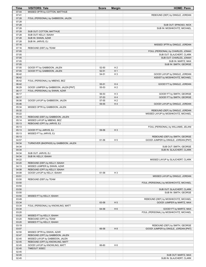| Time           | <b>VISITORS: Yale</b>                                              | <b>Score</b>       | <b>Margin</b>                    | <b>HOME: Penn</b>                                                |
|----------------|--------------------------------------------------------------------|--------------------|----------------------------------|------------------------------------------------------------------|
| 07:44          | MISSED 3PTR by COTTON, MATTHUE                                     |                    |                                  |                                                                  |
| 07:41          |                                                                    |                    |                                  | REBOUND (DEF) by DINGLE, JORDAN                                  |
| 07:28<br>07:28 | FOUL (PERSONAL) by GABBIDON, JALEN                                 |                    |                                  |                                                                  |
| 07:28          |                                                                    |                    |                                  | SUB OUT: SPINOSO, NICK                                           |
| 07:28          |                                                                    |                    |                                  | SUB IN: MOSHKOVITZ, MICHAEL                                      |
| 07:28          | SUB OUT: COTTON, MATTHUE                                           |                    |                                  |                                                                  |
| 07:28          | SUB OUT: KELLY, ISAIAH                                             |                    |                                  |                                                                  |
| 07:28          | SUB IN: SWAIN, AZAR                                                |                    |                                  |                                                                  |
| 07:28          | SUB IN: JARVIS, EJ                                                 |                    |                                  |                                                                  |
| 07:16<br>07:16 | REBOUND (DEF) by TEAM                                              |                    |                                  | MISSED 3PTR by DINGLE, JORDAN                                    |
| 07:05          |                                                                    |                    |                                  | FOUL (PERSONAL) by CHARLES, JONAH                                |
| 07:05          |                                                                    |                    |                                  | SUB OUT: SLAJCHERT, CLARK                                        |
| 07:05          |                                                                    |                    |                                  | SUB OUT: CHARLES, JONAH                                          |
| 07:05          |                                                                    |                    |                                  | SUB IN: MARTZ, MAX                                               |
| 07:05          |                                                                    |                    |                                  | SUB IN: SMITH, GEORGE                                            |
| 07:05          | GOOD! FT by GABBIDON, JALEN                                        | 52-50              | H <sub>2</sub>                   |                                                                  |
| 07:05<br>06:42 | GOOD! FT by GABBIDON, JALEN                                        | $52 - 51$<br>54-51 | H <sub>1</sub><br>H <sub>3</sub> | GOOD! LAYUP by DINGLE, JORDAN                                    |
| 06:42          |                                                                    |                    |                                  | ASSIST by MOSHKOVITZ, MICHAEL                                    |
| 06:42          | FOUL (PERSONAL) by MBENG, BEZ                                      |                    |                                  |                                                                  |
| 06:42          |                                                                    | 55-51              | H4                               | GOOD! FT by DINGLE, JORDAN                                       |
| 06:29          | GOOD! JUMPER by GABBIDON, JALEN [PNT]                              | 55-53              | H <sub>2</sub>                   |                                                                  |
| 06:17          | FOUL (PERSONAL) by SWAIN, AZAR                                     |                    |                                  |                                                                  |
| 06:17          |                                                                    | 56-53              | H <sub>3</sub>                   | GOOD! FT by SMITH, GEORGE                                        |
| 06:17          |                                                                    | 57-53              | H4<br>H <sub>2</sub>             | GOOD! FT by SMITH, GEORGE                                        |
| 06:06<br>05:46 | GOOD! LAYUP by GABBIDON, JALEN                                     | 57-55<br>59-55     | H4                               | GOOD! LAYUP by DINGLE, JORDAN                                    |
| 05:34          | MISSED 3PTR by GABBIDON, JALEN                                     |                    |                                  |                                                                  |
| 05:32          |                                                                    |                    |                                  | REBOUND (DEF) by DINGLE, JORDAN                                  |
| 05:22          |                                                                    |                    |                                  | MISSED LAYUP by MOSHKOVITZ, MICHAEL                              |
| 05:19          | REBOUND (DEF) by GABBIDON, JALEN                                   |                    |                                  |                                                                  |
| 05:14          | MISSED LAYUP by MBENG, BEZ                                         |                    |                                  |                                                                  |
| 05:13          | REBOUND (OFF) by JARVIS, EJ                                        |                    |                                  |                                                                  |
| 05:13<br>05:13 | GOOD! FT by JARVIS, EJ                                             | 59-56              | $H_3$                            | FOUL (PERSONAL) by WILLIAMS, JELANI                              |
| 05:13          | MISSED FT by JARVIS, EJ                                            |                    |                                  |                                                                  |
| 05:13          |                                                                    |                    |                                  | REBOUND (DEF) by SMITH, GEORGE                                   |
| 04:57          |                                                                    | 61-56              | H <sub>5</sub>                   | GOOD! JUMPER by DINGLE, JORDAN [PNT]                             |
| 04:34          | TURNOVER (BADPASS) by GABBIDON, JALEN                              |                    |                                  |                                                                  |
| 04:34          |                                                                    |                    |                                  | SUB OUT: SMITH, GEORGE                                           |
| 04:34          |                                                                    |                    |                                  | SUB IN: SLAJCHERT, CLARK                                         |
| 04:34<br>04:34 | SUB OUT: JARVIS, EJ<br>SUB IN: KELLY, ISAIAH                       |                    |                                  |                                                                  |
| 04:22          |                                                                    |                    |                                  | MISSED LAYUP by SLAJCHERT, CLARK                                 |
| 04:20          | REBOUND (DEF) by KELLY, ISAIAH                                     |                    |                                  |                                                                  |
| 04:13          | MISSED JUMPER by SWAIN, AZAR                                       |                    |                                  |                                                                  |
| 04:08          | REBOUND (OFF) by KELLY, ISAIAH                                     |                    |                                  |                                                                  |
| 04:08          | GOOD! LAYUP by KELLY, ISAIAH                                       | 61-58              | H <sub>3</sub>                   |                                                                  |
| 03:51          |                                                                    |                    |                                  | MISSED LAYUP by DINGLE, JORDAN                                   |
| 03:50          | REBOUND (DEF) by TEAM                                              |                    |                                  |                                                                  |
| 03:50<br>03:50 |                                                                    |                    |                                  | FOUL (PERSONAL) by MOSHKOVITZ, MICHAEL                           |
| 03:50          |                                                                    |                    |                                  | SUB OUT: SLAJCHERT, CLARK                                        |
| 03:50          |                                                                    |                    |                                  | SUB IN: SMITH, GEORGE                                            |
| 03:50          | MISSED FT by KELLY, ISAIAH                                         |                    |                                  |                                                                  |
| 03:49          |                                                                    |                    |                                  | REBOUND (DEF) by MOSHKOVITZ, MICHAEL                             |
| 03:34          |                                                                    | 63-58              | H <sub>5</sub>                   | GOOD! JUMPER by MARTZ, MAX                                       |
| 03:34          | FOUL (PERSONAL) by KNOWLING, MATT                                  |                    |                                  |                                                                  |
| 03:34<br>03:20 |                                                                    | 64-58              | H <sub>6</sub>                   | GOOD! FT by MARTZ, MAX<br>FOUL (PERSONAL) by MOSHKOVITZ, MICHAEL |
| 03:20          | MISSED FT by KELLY, ISAIAH                                         |                    |                                  |                                                                  |
| 03:20          | REBOUND (OFF) by TEAM                                              |                    |                                  |                                                                  |
| 03:20          | MISSED FT by KELLY, ISAIAH                                         |                    |                                  |                                                                  |
| 03:19          |                                                                    |                    |                                  | REBOUND (DEF) by SMITH, GEORGE                                   |
| 03:07          |                                                                    | 66-58              | H 8                              | GOOD! JUMPER by DINGLE, JORDAN [PNT]                             |
| 02:50          | MISSED 3PTR by SWAIN, AZAR                                         |                    |                                  |                                                                  |
| 02:47          | REBOUND (OFF) by GABBIDON, JALEN                                   |                    |                                  |                                                                  |
| 02:45<br>02:45 | MISSED LAYUP by GABBIDON, JALEN<br>REBOUND (OFF) by KNOWLING, MATT |                    |                                  |                                                                  |
| 02:45          | GOOD! LAYUP by KNOWLING, MATT                                      | 66-60              | H <sub>6</sub>                   |                                                                  |
| 02:45          | TIMEOUT 30SEC                                                      |                    |                                  |                                                                  |
| 02:45          |                                                                    |                    |                                  |                                                                  |
| 02:45          |                                                                    |                    |                                  | SUB OUT: MARTZ, MAX                                              |
| 02:45          |                                                                    |                    |                                  | SUB IN: SLAJCHERT, CLARK                                         |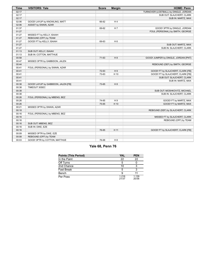| <b>Time</b> | <b>VISITORS: Yale</b>               | <b>Score</b> | <b>Margin</b>  | <b>HOME: Penn</b>                     |
|-------------|-------------------------------------|--------------|----------------|---------------------------------------|
| 02:17       |                                     |              |                | TURNOVER (LOSTBALL) by DINGLE, JORDAN |
| 02:17       |                                     |              |                | SUB OUT: SLAJCHERT, CLARK             |
| 02:17       |                                     |              |                | SUB IN: MARTZ, MAX                    |
| 02:06       | GOOD! LAYUP by KNOWLING, MATT       | 66-62        | H4             |                                       |
| 02:06       | ASSIST by SWAIN, AZAR               |              |                |                                       |
| 01:37       |                                     | 69-62        | H 7            | GOOD! 3PTR by DINGLE, JORDAN          |
| 01:27       |                                     |              |                | FOUL (PERSONAL) by SMITH, GEORGE      |
| 01:27       | MISSED FT by KELLY, ISAIAH          |              |                |                                       |
| 01:27       | REBOUND (OFF) by TEAM               |              |                |                                       |
| 01:27       | GOOD! FT by KELLY, ISAIAH           | 69-63        | H <sub>6</sub> |                                       |
| 01:27       |                                     |              |                | SUB OUT: MARTZ, MAX                   |
| 01:27       |                                     |              |                | SUB IN: SLAJCHERT, CLARK              |
| 01:13       | SUB OUT: KELLY, ISAIAH              |              |                |                                       |
| 01:13       | SUB IN: COTTON, MATTHUE             |              |                |                                       |
| 00:58       |                                     | 71-63        | H 8            | GOOD! JUMPER by DINGLE, JORDAN [PNT]  |
| 00:47       | MISSED 3PTR by GABBIDON, JALEN      |              |                |                                       |
| 00:44       |                                     |              |                | REBOUND (DEF) by SMITH, GEORGE        |
| 00:41       | FOUL (PERSONAL) by SWAIN, AZAR      |              |                |                                       |
| 00:41       |                                     | 72-63        | H9             | GOOD! FT by SLAJCHERT, CLARK [FB]     |
| 00:41       |                                     | 73-63        | $H_1$ 10       | GOOD! FT by SLAJCHERT, CLARK [FB]     |
| 00:41       |                                     |              |                | SUB OUT: SLAJCHERT, CLARK             |
| 00:41       |                                     |              |                | SUB IN: MARTZ, MAX                    |
| 00:38       | GOOD! LAYUP by GABBIDON, JALEN [FB] | 73-65        | H 8            |                                       |
| 00:38       | TIMEOUT 30SEC                       |              |                |                                       |
| 00:38       |                                     |              |                | SUB OUT: MOSHKOVITZ, MICHAEL          |
| 00:38       |                                     |              |                | SUB IN: SLAJCHERT, CLARK              |
| 00:26       | FOUL (PERSONAL) by MBENG, BEZ       |              |                |                                       |
| 00:26       |                                     | 74-65        | H9             | GOOD! FT by MARTZ, MAX                |
| 00:26       |                                     | 75-65        | H 10           | GOOD! FT by MARTZ, MAX                |
| 00:21       | MISSED 3PTR by SWAIN, AZAR          |              |                |                                       |
| 00:18       |                                     |              |                | REBOUND (DEF) by SLAJCHERT, CLARK     |
| 00:16       | FOUL (PERSONAL) by MBENG, BEZ       |              |                |                                       |
| 00:16       |                                     |              |                | MISSED FT by SLAJCHERT, CLARK         |
| 00:16       |                                     |              |                | REBOUND (OFF) by TEAM                 |
| 00:16       | SUB OUT: MBENG, BEZ                 |              |                |                                       |
| 00:16       | SUB IN: DIKE, EZE                   |              |                |                                       |
| 00:16       |                                     | 76-65        | H 11           | GOOD! FT by SLAJCHERT, CLARK [FB]     |
| 00:09       | MISSED 3PTR by DIKE, EZE            |              |                |                                       |
| 00:08       | REBOUND (OFF) by TEAM               |              |                |                                       |
| 00:03       | GOOD! 3PTR by COTTON, MATTHUE       | 76-68        | H <sub>8</sub> |                                       |

# **Yale 68, Penn 76**

| <b>Points (This Period)</b> | YAL            | <b>PEN</b>     |
|-----------------------------|----------------|----------------|
| In the Paint                | 22             | 22             |
| Off Turns                   |                |                |
| 2nd Chance                  | 10             |                |
| <b>Fast Break</b>           |                |                |
| Bench                       | 9              |                |
| Per Poss                    | 1.216<br>21/37 | 1.139<br>20/36 |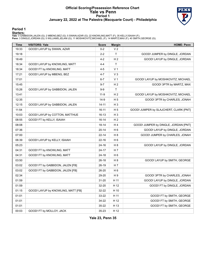#### **Official Scoring/Possession Reference Chart Yale vs Penn Period 1 January 22, 2022 at The Palestra (Macquarie Court) - Philadelphia**



#### **Period 1**

| <b>Time</b> | <b>VISITORS: Yale</b>              | <b>Score</b> | <b>Margin</b>  | <b>HOME: Penn</b>                      |
|-------------|------------------------------------|--------------|----------------|----------------------------------------|
| 19:33       | GOOD! LAYUP by SWAIN, AZAR         | $0-2$        | V 2            |                                        |
| 19:18       |                                    | $2 - 2$      | $\mathsf{T}$   | GOOD! JUMPER by DINGLE, JORDAN         |
| 18:49       |                                    | $4 - 2$      | H <sub>2</sub> | GOOD! LAYUP by DINGLE, JORDAN          |
| 18:34       | GOOD! LAYUP by KNOWLING, MATT      | $4 - 4$      | T              |                                        |
| 18:34       | GOOD! FT by KNOWLING, MATT         | $4 - 5$      | V <sub>1</sub> |                                        |
| 17:21       | GOOD! LAYUP by MBENG, BEZ          | $4 - 7$      | V3             |                                        |
| 17:01       |                                    | $6 - 7$      | V <sub>1</sub> | GOOD! LAYUP by MOSHKOVITZ, MICHAEL     |
| 15:45       |                                    | $9 - 7$      | H <sub>2</sub> | GOOD! 3PTR by MARTZ, MAX               |
| 15:26       | GOOD! LAYUP by GABBIDON, JALEN     | $9-9$        | $\mathsf T$    |                                        |
| 13:41       |                                    | $11-9$       | H <sub>2</sub> | GOOD! LAYUP by MOSHKOVITZ, MICHAEL     |
| 12:35       |                                    | $14-9$       | H 5            | GOOD! 3PTR by CHARLES, JONAH           |
| 12:15       | GOOD! LAYUP by GABBIDON, JALEN     | $14 - 11$    | $H_3$          |                                        |
| 11:54       |                                    | $16 - 11$    | H 5            | GOOD! JUMPER by SLAJCHERT, CLARK [PNT] |
| 10:03       | GOOD! LAYUP by COTTON, MATTHUE     | 16-13        | H <sub>3</sub> |                                        |
| 08:55       | GOOD! FT by KELLY, ISAIAH          | $16 - 14$    | H <sub>2</sub> |                                        |
| 08:08       |                                    | 18-14        | H 4            | GOOD! JUMPER by DINGLE, JORDAN [PNT]   |
| 07:36       |                                    | $20 - 14$    | H 6            | GOOD! LAYUP by DINGLE, JORDAN          |
| 07:00       |                                    | $22 - 14$    | H8             | GOOD! JUMPER by CHARLES, JONAH         |
| 06:39       | GOOD! LAYUP by KELLY, ISAIAH       | $22 - 16$    | H 6            |                                        |
| 05:23       |                                    | 24-16        | H 8            | GOOD! LAYUP by DINGLE, JORDAN          |
| 04:31       | GOOD! FT by KNOWLING, MATT         | 24-17        | H <sub>7</sub> |                                        |
| 04:31       | GOOD! FT by KNOWLING, MATT         | 24-18        | H <sub>6</sub> |                                        |
| 03:50       |                                    | 26-18        | H <sub>8</sub> | GOOD! LAYUP by SMITH, GEORGE           |
| 03:02       | GOOD! FT by GABBIDON, JALEN [FB]   | 26-19        | H 7            |                                        |
| 03:02       | GOOD! FT by GABBIDON, JALEN [FB]   | 26-20        | H 6            |                                        |
| 02:34       |                                    | 29-20        | H 9            | GOOD! 3PTR by CHARLES, JONAH           |
| 01:59       |                                    | $31 - 20$    | H 11           | GOOD! LAYUP by DINGLE, JORDAN          |
| 01:59       |                                    | 32-20        | H 12           | GOOD! FT by DINGLE, JORDAN             |
| 01:15       | GOOD! LAYUP by KNOWLING, MATT [FB] | 32-22        | H 10           |                                        |
| 01:01       |                                    | 33-22        | H 11           | GOOD! FT by SMITH, GEORGE              |
| 01:01       |                                    | 34-22        | H 12           | GOOD! FT by SMITH, GEORGE              |
| 01:01       |                                    | 35-22        | H 13           | GOOD! FT by SMITH, GEORGE              |
| 00:03       | GOOD! FT by MOLLOY, JACK           | $35 - 23$    | H 12           |                                        |

**Yale 23, Penn 35**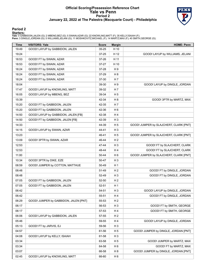#### **Official Scoring/Possession Reference Chart Yale vs Penn Period 2 January 22, 2022 at The Palestra (Macquarie Court) - Philadelphia**



### **Period 2**

| Time  | <b>VISITORS: Yale</b>                 | <b>Score</b> | <b>Margin</b>  | <b>HOME: Penn</b>                      |
|-------|---------------------------------------|--------------|----------------|----------------------------------------|
| 19:49 | GOOD! LAYUP by GABBIDON, JALEN        | 35-25        | H 10           |                                        |
| 19:24 |                                       | 37-25        | H 12           | GOOD! LAYUP by WILLIAMS, JELANI        |
| 18:53 | GOOD! FT by SWAIN, AZAR               | 37-26        | H 11           |                                        |
| 18:53 | GOOD! FT by SWAIN, AZAR               | 37-27        | H 10           |                                        |
| 18:24 | GOOD! FT by SWAIN, AZAR               | 37-28        | H9             |                                        |
| 18:24 | GOOD! FT by SWAIN, AZAR               | 37-29        | H 8            |                                        |
| 18:24 | GOOD! FT by SWAIN, AZAR               | 37-30        | H 7            |                                        |
| 18:04 |                                       | 39-30        | H9             | GOOD! LAYUP by DINGLE, JORDAN          |
| 17:47 | GOOD! LAYUP by KNOWLING, MATT         | 39-32        | H 7            |                                        |
| 16:05 | GOOD! LAYUP by MBENG, BEZ             | 39-34        | H 5            |                                        |
| 15:39 |                                       | 42-34        | H <sub>8</sub> | GOOD! 3PTR by MARTZ, MAX               |
| 15:20 | GOOD! FT by GABBIDON, JALEN           | 42-35        | H 7            |                                        |
| 15:20 | GOOD! FT by GABBIDON, JALEN           | 42-36        | H <sub>6</sub> |                                        |
| 14:50 | GOOD! LAYUP by GABBIDON, JALEN [FB]   | 42-38        | H4             |                                        |
| 14:50 | GOOD! FT by GABBIDON, JALEN [FB]      | 42-39        | $H_3$          |                                        |
| 14:33 |                                       | 44-39        | H <sub>5</sub> | GOOD! JUMPER by SLAJCHERT, CLARK [PNT] |
| 14:15 | GOOD! LAYUP by SWAIN, AZAR            | 44-41        | $H_3$          |                                        |
| 13:23 |                                       | 46-41        | H <sub>5</sub> | GOOD! JUMPER by SLAJCHERT, CLARK [PNT] |
| 13:09 | GOOD! 3PTR by SWAIN, AZAR             | 46-44        | H <sub>2</sub> |                                        |
| 12:53 |                                       | 47-44        | $H_3$          | GOOD! FT by SLAJCHERT, CLARK           |
| 12:53 |                                       | 48-44        | H4             | GOOD! FT by SLAJCHERT, CLARK           |
| 11:00 |                                       | 50-44        | H <sub>6</sub> | GOOD! JUMPER by SLAJCHERT, CLARK [PNT] |
| 10:34 | GOOD! 3PTR by DIKE, EZE               | 50-47        | $H_3$          |                                        |
| 08:59 | GOOD! JUMPER by COTTON, MATTHUE       | 50-49        | H <sub>1</sub> |                                        |
| 08:48 |                                       | 51-49        | H <sub>2</sub> | GOOD! FT by DINGLE, JORDAN             |
| 08:48 |                                       | 52-49        | $H_3$          | GOOD! FT by DINGLE, JORDAN             |
| 07:05 | GOOD! FT by GABBIDON, JALEN           | 52-50        | H <sub>2</sub> |                                        |
| 07:05 | GOOD! FT by GABBIDON, JALEN           | $52 - 51$    | H <sub>1</sub> |                                        |
| 06:42 |                                       | 54-51        | H <sub>3</sub> | GOOD! LAYUP by DINGLE, JORDAN          |
| 06:42 |                                       | 55-51        | H 4            | GOOD! FT by DINGLE, JORDAN             |
| 06:29 | GOOD! JUMPER by GABBIDON, JALEN [PNT] | 55-53        | H <sub>2</sub> |                                        |
| 06:17 |                                       | 56-53        | $H_3$          | GOOD! FT by SMITH, GEORGE              |
| 06:17 |                                       | 57-53        | H 4            | GOOD! FT by SMITH, GEORGE              |
| 06:06 | GOOD! LAYUP by GABBIDON, JALEN        | 57-55        | H <sub>2</sub> |                                        |
| 05:46 |                                       | 59-55        | H 4            | GOOD! LAYUP by DINGLE, JORDAN          |
| 05:13 | GOOD! FT by JARVIS, EJ                | 59-56        | $H_3$          |                                        |
| 04:57 |                                       | 61-56        | H <sub>5</sub> | GOOD! JUMPER by DINGLE, JORDAN [PNT]   |
| 04:08 | GOOD! LAYUP by KELLY, ISAIAH          | 61-58        | H <sub>3</sub> |                                        |
| 03:34 |                                       | 63-58        | H <sub>5</sub> | GOOD! JUMPER by MARTZ, MAX             |
| 03:34 |                                       | 64-58        | H <sub>6</sub> | GOOD! FT by MARTZ, MAX                 |
| 03:07 |                                       | 66-58        | H <sub>8</sub> | GOOD! JUMPER by DINGLE, JORDAN [PNT]   |
| 02:45 | GOOD! LAYUP by KNOWLING, MATT         | 66-60        | H <sub>6</sub> |                                        |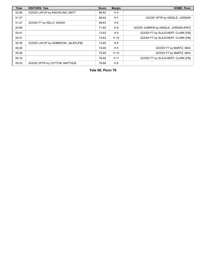| <b>Time</b> | <b>VISITORS: Yale</b>               | <b>Score</b> | <b>Margin</b>  | <b>HOME: Penn</b>                    |
|-------------|-------------------------------------|--------------|----------------|--------------------------------------|
| 02:06       | GOOD! LAYUP by KNOWLING, MATT       | 66-62        | H4             |                                      |
| 01:37       |                                     | 69-62        | H <sub>7</sub> | GOOD! 3PTR by DINGLE, JORDAN         |
| 01:27       | GOOD! FT by KELLY, ISAIAH           | 69-63        | H 6            |                                      |
| 00:58       |                                     | 71-63        | H 8            | GOOD! JUMPER by DINGLE, JORDAN [PNT] |
| 00:41       |                                     | 72-63        | H <sub>9</sub> | GOOD! FT by SLAJCHERT, CLARK [FB]    |
| 00:41       |                                     | 73-63        | H 10           | GOOD! FT by SLAJCHERT, CLARK [FB]    |
| 00:38       | GOOD! LAYUP by GABBIDON, JALEN [FB] | 73-65        | H 8            |                                      |
| 00:26       |                                     | 74-65        | H <sub>9</sub> | GOOD! FT by MARTZ, MAX               |
| 00:26       |                                     | 75-65        | H 10           | GOOD! FT by MARTZ, MAX               |
| 00:16       |                                     | 76-65        | H 11           | GOOD! FT by SLAJCHERT, CLARK [FB]    |
| 00:03       | GOOD! 3PTR by COTTON, MATTHUE       | 76-68        | H 8            |                                      |

**Yale 68, Penn 76**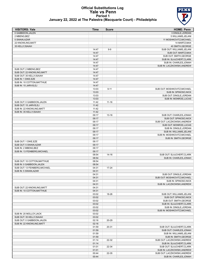### **Official Substitutions Log Yale vs Penn Period 1 January 22, 2022 at The Palestra (Macquarie Court) - Philadelphia**



| <b>VISITORS: Yale</b>         | <b>Time</b>    | <b>Score</b> | <b>HOME: Penn</b>                                     |
|-------------------------------|----------------|--------------|-------------------------------------------------------|
| 0 GABBIDON, JALEN             |                |              | 3 DINGLE.JORDAN                                       |
| 2 MBENG, BEZ                  |                |              | 5 WILLIAMS, JELANI                                    |
| 5 SWAIN, AZAR                 |                |              | 11 MOSHKOVITZ, MICHAEL                                |
| 22 KNOWLING, MATT             |                |              | 14 MARTZ, MAX                                         |
| 35 KELLY, ISAIAH              |                |              | 40 SMITH, GEORGE                                      |
|                               | 14:47          | $9-9$        | SUB OUT: WILLIAMS, JELANI                             |
|                               | 14:47          |              | SUB OUT: MARTZ, MAX                                   |
|                               | 14:47          |              | SUB OUT: SMITH, GEORGE                                |
|                               | 14:47          |              | SUB IN: SLAJCHERT, CLARK                              |
|                               | 14:47          |              | SUB IN: CHARLES, JONAH                                |
|                               | 14:47          |              | SUB IN: LACZKOWSKI, ANDREW                            |
| SUB OUT: 2 MBENG, BEZ         | 14:47          |              |                                                       |
| SUB OUT: 22 KNOWLING.MATT     | 14:47          |              |                                                       |
| SUB OUT: 35 KELLY, ISAIAH     | 14:47          |              |                                                       |
| SUB IN: 1 DIKE, EZE           | 14:47          |              |                                                       |
| SUB IN: 10 COTTON, MATTHUE    | 14:47          |              |                                                       |
| SUB IN: 15 JARVIS, EJ         | 14:47          |              |                                                       |
|                               | 13:03<br>13:03 | $9 - 11$     | SUB OUT: MOSHKOVITZ, MICHAEL<br>SUB IN: SPINOSO, NICK |
|                               | 13:03          |              | SUB OUT: DINGLE, JORDAN                               |
|                               | 13:03          |              | SUB IN: MONROE, LUCAS                                 |
| SUB OUT: 0 GABBIDON, JALEN    | 11:42          | $11 - 16$    |                                                       |
| SUB OUT: 15 JARVIS, EJ        | 11:42          |              |                                                       |
| SUB IN: 22 KNOWLING, MATT     | 11:42          |              |                                                       |
| SUB IN: 35 KELLY, ISAIAH      | 11:42          |              |                                                       |
|                               | 09:17          | 13-16        | SUB OUT: CHARLES, JONAH                               |
|                               | 09:17          |              | SUB OUT: SPINOSO, NICK                                |
|                               | 09:17          |              | SUB OUT: LACZKOWSKI, ANDREW                           |
|                               | 09:17          |              | SUB OUT: MONROE, LUCAS                                |
|                               | 09:17          |              | SUB IN: DINGLE, JORDAN                                |
|                               | 09:17          |              | SUB IN: WILLIAMS, JELANI                              |
|                               | 09:17          |              | SUB IN: MOSHKOVITZ, MICHAEL                           |
|                               | 09:17          |              | SUB IN: SMITH, GEORGE                                 |
| SUB OUT: 1 DIKE, EZE          | 09:17          |              |                                                       |
| SUB OUT: 5 SWAIN, AZAR        | 09:17          |              |                                                       |
| SUB IN: 2 MBENG, BEZ          | 09:17          |              |                                                       |
| SUB IN: 13 FEINBERG, MICHAEL  | 09:17          |              |                                                       |
|                               | 08:54          | $14 - 16$    | SUB OUT: SLAJCHERT, CLARK                             |
|                               | 08:54          |              | SUB IN: CHARLES, JONAH                                |
| SUB OUT: 10 COTTON, MATTHUE   | 08:54          |              |                                                       |
| SUB IN: 0 GABBIDON, JALEN     | 08:54          |              |                                                       |
| SUB OUT: 13 FEINBERG, MICHAEL | 04:31          | $17 - 24$    |                                                       |
| SUB IN: 5 SWAIN, AZAR         | 04:31          |              |                                                       |
|                               | 04:31          |              | SUB OUT: DINGLE, JORDAN                               |
|                               | 04:31          |              | SUB OUT: MOSHKOVITZ, MICHAEL                          |
|                               | 04:31          |              | SUB IN: SPINOSO, NICK                                 |
|                               | 04:31          |              | SUB IN: LACZKOWSKI, ANDREW                            |
| SUB OUT: 22 KNOWLING, MATT    | 04:31          |              |                                                       |
| SUB IN: 10 COTTON, MATTHUE    | 04:31          |              |                                                       |
|                               | 03:02          | 18-26        | SUB OUT: WILLIAMS, JELANI                             |
|                               | 03:02          |              | SUB OUT: SPINOSO, NICK                                |
|                               | 03:02          |              | SUB OUT: SMITH, GEORGE                                |
|                               | 03:02          |              | SUB IN: SLAJCHERT, CLARK<br>SUB IN: DINGLE, JORDAN    |
|                               | 03:02<br>03:02 |              | SUB IN: MOSHKOVITZ, MICHAEL                           |
| SUB IN: 20 MOLLOY, JACK       | 03:02          |              |                                                       |
| SUB OUT: 35 KELLY, ISAIAH     | 03:02          |              |                                                       |
| SUB OUT: 0 GABBIDON, JALEN    | 02:16          | 20-29        |                                                       |
| SUB IN: 22 KNOWLING, MATT     | 02:16          |              |                                                       |
|                               | 01:59          | 20-31        | SUB OUT: SLAJCHERT, CLARK                             |
|                               | 01:59          |              | SUB OUT: CHARLES, JONAH                               |
|                               | 01:59          |              | SUB IN: WILLIAMS, JELANI                              |
|                               | 01:59          |              | SUB IN: SMITH, GEORGE                                 |
|                               | 01:14          | 22-32        | SUB OUT: LACZKOWSKI, ANDREW                           |
|                               | 01:14          |              | SUB IN: SLAJCHERT, CLARK                              |
|                               | 01:01          | 22-34        | SUB OUT: SLAJCHERT, CLARK                             |
|                               | 01:01          |              | SUB IN: LACZKOWSKI, ANDREW                            |
|                               | 00:44          | 22-35        | SUB OUT: LACZKOWSKI, ANDREW                           |
|                               | 00:44          |              | SUB IN: CHARLES, JONAH                                |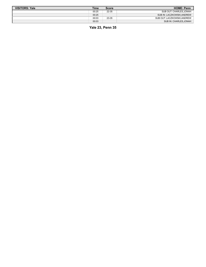| <b>VISITORS: Yale</b> | <b>Time</b> | <b>Score</b> | <b>HOME: Penn</b>          |
|-----------------------|-------------|--------------|----------------------------|
|                       | 00:25       | 22-35        | SUB OUT: CHARLES.JONAH     |
|                       | 00:25       |              | SUB IN: LACZKOWSKI.ANDREW  |
|                       | 00:03       | 23-35        | SUB OUT: LACZKOWSKI.ANDREW |
|                       | 00:03       |              | SUB IN: CHARLES, JONAH     |

**Yale 23, Penn 35**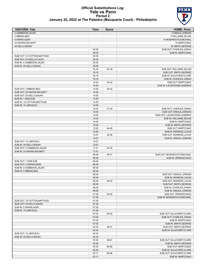#### **Official Substitutions Log Yale vs Penn Period 2 January 22, 2022 at The Palestra (Macquarie Court) - Philadelphia**



| <b>VISITORS: Yale</b>       | <b>Time</b>    | <b>Score</b> | <b>HOME: Penn</b>                                     |
|-----------------------------|----------------|--------------|-------------------------------------------------------|
| 0 GABBIDON, JALEN           |                |              | 3 DINGLE, JORDAN                                      |
| 2 MBENG, BEZ                |                |              | 5 WILLIAMS, JELANI                                    |
| 5 SWAIN, AZAR               |                |              | 11 MOSHKOVITZ, MICHAEL                                |
| 22 KNOWLING, MATT           |                |              | 14 MARTZ, MAX                                         |
| 35 KELLY, ISAIAH            |                |              | 40 SMITH, GEORGE                                      |
|                             | 20:00          | ÷,           | SUB OUT: CHARLES, JONAH                               |
|                             | 20:00          |              | SUB IN: MARTZ, MAX                                    |
| SUB OUT: 10 COTTON, MATTHUE | 20:00          |              |                                                       |
| SUB OUT: 20 MOLLOY, JACK    | 20:00          |              |                                                       |
| SUB IN: 0 GABBIDON, JALEN   | 20:00          |              |                                                       |
| SUB IN: 35 KELLY, ISAIAH    | 20:00          |              |                                                       |
|                             | 16:16          | 32-39        | SUB OUT: WILLIAMS, JELANI                             |
|                             | 16:16          |              | SUB OUT: SMITH, GEORGE                                |
|                             | 16:16          |              | SUB IN: SLAJCHERT.CLARK                               |
|                             | 16:16          |              | SUB IN: CHARLES, JONAH                                |
|                             | 15:20          | 34-42        | SUB OUT: MARTZ, MAX                                   |
|                             | 15:20          |              | SUB IN: LACZKOWSKI, ANDREW                            |
| SUB OUT: 2 MBENG, BEZ       | 14:50          | 38-42        |                                                       |
| SUB OUT: 22 KNOWLING, MATT  | 14:50          |              |                                                       |
| SUB OUT: 35 KELLY, ISAIAH   | 14:50          |              |                                                       |
| SUB IN: 1 DIKE.EZE          | 14:50          |              |                                                       |
| SUB IN: 10 COTTON, MATTHUE  | 14:50          |              |                                                       |
| SUB IN: 15 JARVIS EJ        | 14:50          |              |                                                       |
|                             | 14:04          | 41-44        | SUB OUT: CHARLES, JONAH                               |
|                             | 14:04          |              | SUB OUT: DINGLE, JORDAN<br>SUB OUT: LACZKOWSKI.ANDREW |
|                             | 14:04          |              |                                                       |
|                             | 14:04          |              | SUB IN: WILLIAMS, JELANI                              |
|                             | 14:04          |              | SUB IN: MARTZ, MAX                                    |
|                             | 14:04          |              | SUB IN: SMITH, GEORGE                                 |
|                             | 12:20          | 44-48        | SUB OUT: MARTZ, MAX                                   |
|                             | 12:20<br>12:07 |              | SUB IN: MONROE, LUCAS                                 |
|                             | 12:07          | 44-48        | SUB OUT: MONROE, LUCAS                                |
| SUB OUT: 15 JARVIS, EJ      | 12:07          |              | SUB IN: DINGLE, JORDAN                                |
| SUB IN: 35 KELLY, ISAIAH    | 12:07          |              |                                                       |
| SUB OUT: 0 GABBIDON, JALEN  | 11:41          | 44-48        |                                                       |
| SUB IN: 22 KNOWLING, MATT   | 11:41          |              |                                                       |
|                             | 08:48          | 49-51        | SUB OUT: MOSHKOVITZ, MICHAEL                          |
|                             | 08:48          |              | <b>SUB IN: SPINOSO.NICK</b>                           |
| SUB OUT: 1 DIKE, EZE        | 08:48          |              |                                                       |
| SUB OUT: 5 SWAIN, AZAR      | 08:48          |              |                                                       |
| SUB IN: 0 GABBIDON, JALEN   | 08:48          |              |                                                       |
| SUB IN: 2 MBENG, BEZ        | 08:48          |              |                                                       |
|                             | 08:48          |              | SUB OUT: DINGLE, JORDAN                               |
|                             | 08:48          |              | SUB IN: MONROE, LUCAS                                 |
|                             | 08:28          | 49-52        | SUB OUT: MONROE, LUCAS                                |
|                             | 08:28          |              | SUB OUT: SMITH, GEORGE                                |
|                             | 08:28          |              | SUB IN: CHARLES, JONAH                                |
|                             | 08:28          |              | SUB IN: DINGLE, JORDAN                                |
|                             | 07:28          | 49-52        | SUB OUT: SPINOSO, NICK                                |
|                             | 07:28          |              | SUB IN: MOSHKOVITZ, MICHAEL                           |
| SUB OUT: 10 COTTON, MATTHUE | 07:28          |              |                                                       |
| SUB OUT: 35 KELLY, ISAIAH   | 07:28          |              |                                                       |
| SUB IN: 5 SWAIN, AZAR       | 07:28          |              |                                                       |
| SUB IN: 15 JARVIS, EJ       | 07:28          |              |                                                       |
|                             | 07:05          | 49-52        | SUB OUT: SLAJCHERT, CLARK                             |
|                             | 07:05          |              | SUB OUT: CHARLES, JONAH                               |
|                             | 07:05          |              | SUB IN: MARTZ, MAX                                    |
|                             | 07:05          |              | SUB IN: SMITH, GEORGE                                 |
|                             | 04:34          | 56-61        | SUB OUT: SMITH, GEORGE                                |
|                             | 04:34          |              | SUB IN: SLAJCHERT, CLARK                              |
| SUB OUT: 15 JARVIS,EJ       | 04:34          |              |                                                       |
| SUB IN: 35 KELLY, ISAIAH    | 04:34          |              |                                                       |
|                             | 03:50          | 58-61        | SUB OUT: SLAJCHERT, CLARK                             |
|                             | 03:50          |              | SUB IN: SMITH, GEORGE                                 |
|                             | 02:45          | 60-66        | SUB OUT: MARTZ, MAX                                   |
|                             | 02:45          |              | SUB IN: SLAJCHERT, CLARK                              |
|                             | 02:17          | 60-66        | SUB OUT: SLAJCHERT, CLARK                             |
|                             | 02:17          |              | SUB IN: MARTZ, MAX                                    |